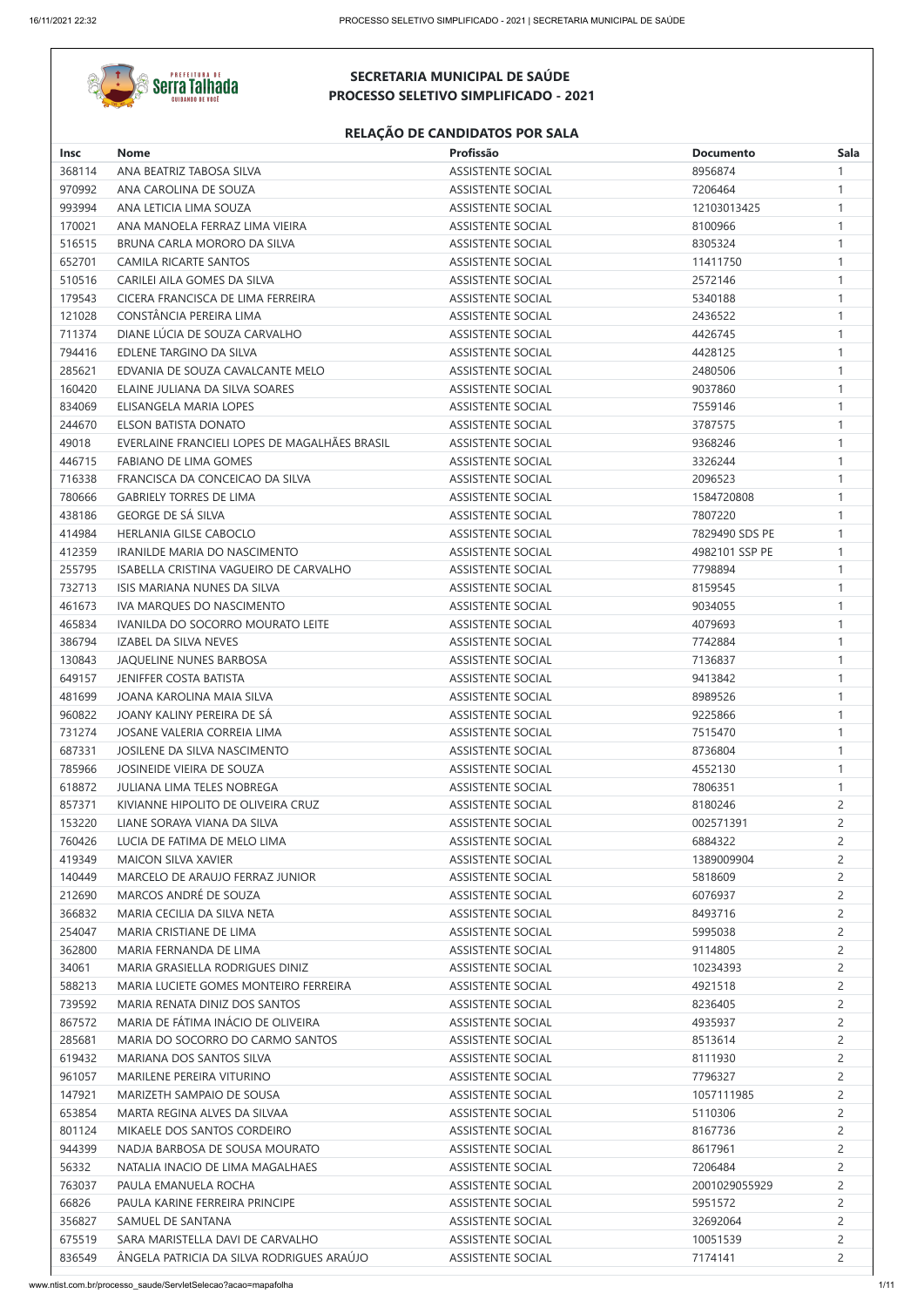

| <b>Insc</b> | <b>Nome</b>                                   | Profissão                | <b>Documento</b> | <b>Sala</b>    |
|-------------|-----------------------------------------------|--------------------------|------------------|----------------|
| 368114      | ANA BEATRIZ TABOSA SILVA                      | <b>ASSISTENTE SOCIAL</b> | 8956874          |                |
| 970992      | ANA CAROLINA DE SOUZA                         | <b>ASSISTENTE SOCIAL</b> | 7206464          | 1              |
| 993994      | ANA LETICIA LIMA SOUZA                        | <b>ASSISTENTE SOCIAL</b> | 12103013425      | -1             |
| 170021      | ANA MANOELA FERRAZ LIMA VIEIRA                | <b>ASSISTENTE SOCIAL</b> | 8100966          | 1              |
| 516515      | BRUNA CARLA MORORO DA SILVA                   | <b>ASSISTENTE SOCIAL</b> | 8305324          | $\mathbf{1}$   |
| 652701      | <b>CAMILA RICARTE SANTOS</b>                  | <b>ASSISTENTE SOCIAL</b> | 11411750         | 1              |
| 510516      | CARILEI AILA GOMES DA SILVA                   | <b>ASSISTENTE SOCIAL</b> | 2572146          |                |
| 179543      | CICERA FRANCISCA DE LIMA FERREIRA             | <b>ASSISTENTE SOCIAL</b> | 5340188          | 1              |
| 121028      | CONSTÂNCIA PEREIRA LIMA                       | <b>ASSISTENTE SOCIAL</b> | 2436522          | $\mathbf{1}$   |
| 711374      | DIANE LÚCIA DE SOUZA CARVALHO                 | <b>ASSISTENTE SOCIAL</b> | 4426745          | 1              |
| 794416      | EDLENE TARGINO DA SILVA                       | <b>ASSISTENTE SOCIAL</b> | 4428125          |                |
| 285621      | EDVANIA DE SOUZA CAVALCANTE MELO              | <b>ASSISTENTE SOCIAL</b> | 2480506          | 1              |
| 160420      | ELAINE JULIANA DA SILVA SOARES                | <b>ASSISTENTE SOCIAL</b> | 9037860          | $\mathbf{1}$   |
| 834069      | ELISANGELA MARIA LOPES                        | <b>ASSISTENTE SOCIAL</b> | 7559146          | 1              |
| 244670      | ELSON BATISTA DONATO                          | <b>ASSISTENTE SOCIAL</b> | 3787575          |                |
| 49018       | EVERLAINE FRANCIELI LOPES DE MAGALHÃES BRASIL | <b>ASSISTENTE SOCIAL</b> | 9368246          |                |
| 446715      | <b>FABIANO DE LIMA GOMES</b>                  | <b>ASSISTENTE SOCIAL</b> | 3326244          | $\mathbf 1$    |
| 716338      | FRANCISCA DA CONCEICAO DA SILVA               | <b>ASSISTENTE SOCIAL</b> | 2096523          | 1              |
| 780666      | <b>GABRIELY TORRES DE LIMA</b>                | <b>ASSISTENTE SOCIAL</b> | 1584720808       |                |
| 438186      | <b>GEORGE DE SÁ SILVA</b>                     | <b>ASSISTENTE SOCIAL</b> | 7807220          | 1              |
| 414984      | HERLANIA GILSE CABOCLO                        | <b>ASSISTENTE SOCIAL</b> | 7829490 SDS PE   | $\mathbf 1$    |
| 412359      | IRANILDE MARIA DO NASCIMENTO                  | <b>ASSISTENTE SOCIAL</b> | 4982101 SSP PE   | 1              |
| 255795      | ISABELLA CRISTINA VAGUEIRO DE CARVALHO        | <b>ASSISTENTE SOCIAL</b> | 7798894          |                |
| 732713      | ISIS MARIANA NUNES DA SILVA                   | <b>ASSISTENTE SOCIAL</b> | 8159545          |                |
| 461673      | IVA MARQUES DO NASCIMENTO                     | <b>ASSISTENTE SOCIAL</b> | 9034055          | -1             |
| 465834      | IVANILDA DO SOCORRO MOURATO LEITE             | <b>ASSISTENTE SOCIAL</b> | 4079693          | 1              |
| 386794      | <b>IZABEL DA SILVA NEVES</b>                  | <b>ASSISTENTE SOCIAL</b> | 7742884          | -1             |
| 130843      | JAQUELINE NUNES BARBOSA                       | <b>ASSISTENTE SOCIAL</b> | 7136837          | $\mathbf{1}$   |
| 649157      | <b>JENIFFER COSTA BATISTA</b>                 | <b>ASSISTENTE SOCIAL</b> | 9413842          | $\mathbf{1}$   |
| 481699      | JOANA KAROLINA MAIA SILVA                     | <b>ASSISTENTE SOCIAL</b> | 8989526          | 1              |
| 960822      | JOANY KALINY PEREIRA DE SÁ                    | <b>ASSISTENTE SOCIAL</b> | 9225866          | $\mathbf{1}$   |
| 731274      | JOSANE VALERIA CORREIA LIMA                   | <b>ASSISTENTE SOCIAL</b> | 7515470          | 1              |
|             |                                               |                          |                  |                |
| 687331      | JOSILENE DA SILVA NASCIMENTO                  | <b>ASSISTENTE SOCIAL</b> | 8736804          | $\mathbf{1}$   |
| 785966      | JOSINEIDE VIEIRA DE SOUZA                     | <b>ASSISTENTE SOCIAL</b> | 4552130          | 1              |
| 618872      | <b>JULIANA LIMA TELES NOBREGA</b>             | <b>ASSISTENTE SOCIAL</b> | 7806351          | $\mathbf{1}$   |
| 857371      | KIVIANNE HIPOLITO DE OLIVEIRA CRUZ            | <b>ASSISTENTE SOCIAL</b> | 8180246          | $\overline{c}$ |
| 153220      | LIANE SORAYA VIANA DA SILVA                   | <b>ASSISTENTE SOCIAL</b> | 002571391        | $\overline{c}$ |
| 760426      | LUCIA DE FATIMA DE MELO LIMA                  | <b>ASSISTENTE SOCIAL</b> | 6884322          | $\overline{2}$ |
| 419349      | <b>MAICON SILVA XAVIER</b>                    | <b>ASSISTENTE SOCIAL</b> | 1389009904       | $\overline{2}$ |
| 140449      | MARCELO DE ARAUJO FERRAZ JUNIOR               | <b>ASSISTENTE SOCIAL</b> | 5818609          | $\overline{2}$ |
| 212690      | MARCOS ANDRÉ DE SOUZA                         | <b>ASSISTENTE SOCIAL</b> | 6076937          | $\overline{2}$ |
| 366832      | MARIA CECILIA DA SILVA NETA                   | <b>ASSISTENTE SOCIAL</b> | 8493716          | $\overline{c}$ |
| 254047      | MARIA CRISTIANE DE LIMA                       | <b>ASSISTENTE SOCIAL</b> | 5995038          | $\overline{c}$ |
| 362800      | MARIA FERNANDA DE LIMA                        | <b>ASSISTENTE SOCIAL</b> | 9114805          | $\overline{2}$ |
| 34061       | MARIA GRASIELLA RODRIGUES DINIZ               | <b>ASSISTENTE SOCIAL</b> | 10234393         | $\overline{2}$ |
| 588213      | MARIA LUCIETE GOMES MONTEIRO FERREIRA         | <b>ASSISTENTE SOCIAL</b> | 4921518          | $\overline{2}$ |
| 739592      | MARIA RENATA DINIZ DOS SANTOS                 | <b>ASSISTENTE SOCIAL</b> | 8236405          | $\overline{2}$ |
| 867572      | MARIA DE FÁTIMA INÁCIO DE OLIVEIRA            | <b>ASSISTENTE SOCIAL</b> | 4935937          | $\overline{c}$ |
| 285681      | MARIA DO SOCORRO DO CARMO SANTOS              | <b>ASSISTENTE SOCIAL</b> | 8513614          | $\overline{2}$ |
| 619432      | MARIANA DOS SANTOS SILVA                      | <b>ASSISTENTE SOCIAL</b> | 8111930          | $\overline{2}$ |
| 961057      | MARILENE PEREIRA VITURINO                     | <b>ASSISTENTE SOCIAL</b> | 7796327          | $\mathsf{2}$   |
| 147921      | MARIZETH SAMPAIO DE SOUSA                     | <b>ASSISTENTE SOCIAL</b> | 1057111985       | $\overline{c}$ |
| 653854      | MARTA REGINA ALVES DA SILVAA                  | <b>ASSISTENTE SOCIAL</b> | 5110306          | $\overline{c}$ |
| 801124      | MIKAELE DOS SANTOS CORDEIRO                   | <b>ASSISTENTE SOCIAL</b> | 8167736          | $\overline{2}$ |
| 944399      | NADJA BARBOSA DE SOUSA MOURATO                | <b>ASSISTENTE SOCIAL</b> | 8617961          | $\overline{2}$ |
| 56332       | NATALIA INACIO DE LIMA MAGALHAES              | <b>ASSISTENTE SOCIAL</b> | 7206484          | $\overline{2}$ |
| 763037      | PAULA EMANUELA ROCHA                          | <b>ASSISTENTE SOCIAL</b> | 2001029055929    | $\overline{c}$ |
| 66826       | PAULA KARINE FERREIRA PRINCIPE                | <b>ASSISTENTE SOCIAL</b> | 5951572          | $\overline{2}$ |
| 356827      | SAMUEL DE SANTANA                             | <b>ASSISTENTE SOCIAL</b> | 32692064         | $\overline{c}$ |
| 675519      | SARA MARISTELLA DAVI DE CARVALHO              | <b>ASSISTENTE SOCIAL</b> | 10051539         | $\overline{2}$ |
| 836549      | ÂNGELA PATRICIA DA SILVA RODRIGUES ARAÚJO     | <b>ASSISTENTE SOCIAL</b> | 7174141          | 2              |
|             |                                               |                          |                  |                |

# **SECRETARIA MUNICIPAL DE SAÚDE PROCESSO SELETIVO SIMPLIFICADO - 2021**

## **RELAÇÃO DE CANDIDATOS POR SALA**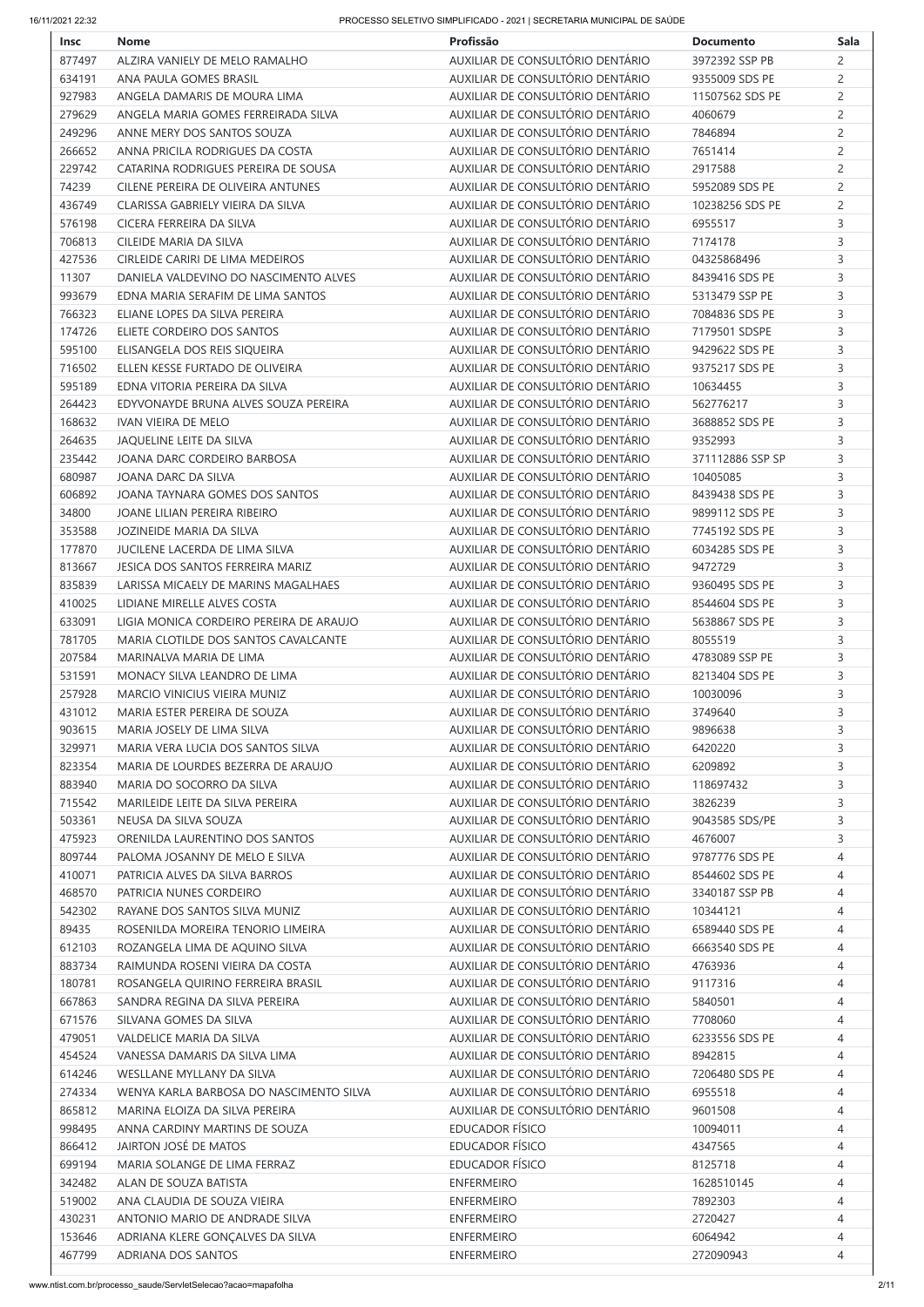| <b>Insc</b> | <b>Nome</b>                             | Profissão                        | <b>Documento</b> | <b>Sala</b>    |
|-------------|-----------------------------------------|----------------------------------|------------------|----------------|
| 877497      | ALZIRA VANIELY DE MELO RAMALHO          | AUXILIAR DE CONSULTÓRIO DENTÁRIO | 3972392 SSP PB   | $\overline{c}$ |
| 634191      | ANA PAULA GOMES BRASIL                  | AUXILIAR DE CONSULTÓRIO DENTÁRIO | 9355009 SDS PE   | $\overline{2}$ |
| 927983      | ANGELA DAMARIS DE MOURA LIMA            | AUXILIAR DE CONSULTÓRIO DENTÁRIO | 11507562 SDS PE  | $\overline{2}$ |
| 279629      | ANGELA MARIA GOMES FERREIRADA SILVA     | AUXILIAR DE CONSULTÓRIO DENTÁRIO | 4060679          | $\overline{c}$ |
| 249296      | ANNE MERY DOS SANTOS SOUZA              | AUXILIAR DE CONSULTÓRIO DENTÁRIO | 7846894          | $\overline{c}$ |
| 266652      | ANNA PRICILA RODRIGUES DA COSTA         | AUXILIAR DE CONSULTÓRIO DENTÁRIO | 7651414          | $\overline{c}$ |
| 229742      | CATARINA RODRIGUES PEREIRA DE SOUSA     | AUXILIAR DE CONSULTÓRIO DENTÁRIO | 2917588          | $\overline{c}$ |
| 74239       | CILENE PEREIRA DE OLIVEIRA ANTUNES      | AUXILIAR DE CONSULTÓRIO DENTÁRIO | 5952089 SDS PE   | $\overline{c}$ |
|             | CLARISSA GABRIELY VIEIRA DA SILVA       | AUXILIAR DE CONSULTÓRIO DENTÁRIO | 10238256 SDS PE  |                |
| 436749      |                                         | AUXILIAR DE CONSULTÓRIO DENTÁRIO |                  | $\overline{c}$ |
| 576198      | CICERA FERREIRA DA SILVA                |                                  | 6955517          | 3              |
| 706813      | CILEIDE MARIA DA SILVA                  | AUXILIAR DE CONSULTÓRIO DENTÁRIO | 7174178          | 3              |
| 427536      | CIRLEIDE CARIRI DE LIMA MEDEIROS        | AUXILIAR DE CONSULTÓRIO DENTÁRIO | 04325868496      | 3              |
| 11307       | DANIELA VALDEVINO DO NASCIMENTO ALVES   | AUXILIAR DE CONSULTÓRIO DENTÁRIO | 8439416 SDS PE   | 3              |
| 993679      | EDNA MARIA SERAFIM DE LIMA SANTOS       | AUXILIAR DE CONSULTÓRIO DENTÁRIO | 5313479 SSP PE   | 3              |
| 766323      | ELIANE LOPES DA SILVA PEREIRA           | AUXILIAR DE CONSULTÓRIO DENTÁRIO | 7084836 SDS PE   | 3              |
| 174726      | ELIETE CORDEIRO DOS SANTOS              | AUXILIAR DE CONSULTÓRIO DENTÁRIO | 7179501 SDSPE    | 3              |
| 595100      | ELISANGELA DOS REIS SIQUEIRA            | AUXILIAR DE CONSULTÓRIO DENTÁRIO | 9429622 SDS PE   | 3              |
| 716502      | ELLEN KESSE FURTADO DE OLIVEIRA         | AUXILIAR DE CONSULTÓRIO DENTÁRIO | 9375217 SDS PE   | 3              |
| 595189      | EDNA VITORIA PEREIRA DA SILVA           | AUXILIAR DE CONSULTÓRIO DENTÁRIO | 10634455         | 3              |
| 264423      | EDYVONAYDE BRUNA ALVES SOUZA PEREIRA    | AUXILIAR DE CONSULTÓRIO DENTÁRIO | 562776217        | 3              |
| 168632      | IVAN VIEIRA DE MELO                     | AUXILIAR DE CONSULTÓRIO DENTÁRIO | 3688852 SDS PE   | 3              |
| 264635      | JAQUELINE LEITE DA SILVA                | AUXILIAR DE CONSULTÓRIO DENTÁRIO | 9352993          | 3              |
| 235442      | JOANA DARC CORDEIRO BARBOSA             | AUXILIAR DE CONSULTÓRIO DENTÁRIO | 371112886 SSP SP | 3              |
| 680987      | JOANA DARC DA SILVA                     | AUXILIAR DE CONSULTÓRIO DENTÁRIO | 10405085         | 3              |
|             | JOANA TAYNARA GOMES DOS SANTOS          | AUXILIAR DE CONSULTÓRIO DENTÁRIO | 8439438 SDS PE   |                |
| 606892      |                                         |                                  |                  | 3              |
| 34800       | JOANE LILIAN PEREIRA RIBEIRO            | AUXILIAR DE CONSULTÓRIO DENTÁRIO | 9899112 SDS PE   | 3              |
| 353588      | JOZINEIDE MARIA DA SILVA                | AUXILIAR DE CONSULTÓRIO DENTÁRIO | 7745192 SDS PE   | 3              |
| 177870      | JUCILENE LACERDA DE LIMA SILVA          | AUXILIAR DE CONSULTÓRIO DENTÁRIO | 6034285 SDS PE   | 3              |
| 813667      | JESICA DOS SANTOS FERREIRA MARIZ        | AUXILIAR DE CONSULTÓRIO DENTÁRIO | 9472729          | 3              |
| 835839      | LARISSA MICAELY DE MARINS MAGALHAES     | AUXILIAR DE CONSULTÓRIO DENTÁRIO | 9360495 SDS PE   | 3              |
| 410025      | LIDIANE MIRELLE ALVES COSTA             | AUXILIAR DE CONSULTÓRIO DENTÁRIO | 8544604 SDS PE   | 3              |
| 633091      | LIGIA MONICA CORDEIRO PEREIRA DE ARAUJO | AUXILIAR DE CONSULTÓRIO DENTÁRIO | 5638867 SDS PE   | 3              |
| 781705      | MARIA CLOTILDE DOS SANTOS CAVALCANTE    | AUXILIAR DE CONSULTÓRIO DENTÁRIO | 8055519          | 3              |
| 207584      | MARINALVA MARIA DE LIMA                 | AUXILIAR DE CONSULTÓRIO DENTÁRIO | 4783089 SSP PE   | 3              |
| 531591      | MONACY SILVA LEANDRO DE LIMA            | AUXILIAR DE CONSULTÓRIO DENTÁRIO | 8213404 SDS PE   | 3              |
| 257928      | MARCIO VINICIUS VIEIRA MUNIZ            | AUXILIAR DE CONSULTÓRIO DENTÁRIO | 10030096         | 3              |
| 431012      | MARIA ESTER PEREIRA DE SOUZA            | AUXILIAR DE CONSULTÓRIO DENTÁRIO | 3749640          | 3              |
| 903615      | MARIA JOSELY DE LIMA SILVA              | AUXILIAR DE CONSULTÓRIO DENTÁRIO | 9896638          | 3              |
| 329971      | MARIA VERA LUCIA DOS SANTOS SILVA       | AUXILIAR DE CONSULTÓRIO DENTÁRIO | 6420220          | 3              |
| 823354      | MARIA DE LOURDES BEZERRA DE ARAUJO      | AUXILIAR DE CONSULTÓRIO DENTÁRIO | 6209892          | 3              |
|             |                                         |                                  |                  |                |
| 883940      | MARIA DO SOCORRO DA SILVA               | AUXILIAR DE CONSULTÓRIO DENTÁRIO | 118697432        | 3              |
| 715542      | MARILEIDE LEITE DA SILVA PEREIRA        | AUXILIAR DE CONSULTÓRIO DENTÁRIO | 3826239          | 3              |
| 503361      | NEUSA DA SILVA SOUZA                    | AUXILIAR DE CONSULTÓRIO DENTÁRIO | 9043585 SDS/PE   | 3              |
| 475923      | ORENILDA LAURENTINO DOS SANTOS          | AUXILIAR DE CONSULTÓRIO DENTÁRIO | 4676007          | 3              |
| 809744      | PALOMA JOSANNY DE MELO E SILVA          | AUXILIAR DE CONSULTÓRIO DENTÁRIO | 9787776 SDS PE   | 4              |
| 410071      | PATRICIA ALVES DA SILVA BARROS          | AUXILIAR DE CONSULTÓRIO DENTÁRIO | 8544602 SDS PE   | 4              |
| 468570      | PATRICIA NUNES CORDEIRO                 | AUXILIAR DE CONSULTÓRIO DENTÁRIO | 3340187 SSP PB   | 4              |
| 542302      | RAYANE DOS SANTOS SILVA MUNIZ           | AUXILIAR DE CONSULTÓRIO DENTÁRIO | 10344121         | 4              |
| 89435       | ROSENILDA MOREIRA TENORIO LIMEIRA       | AUXILIAR DE CONSULTÓRIO DENTÁRIO | 6589440 SDS PE   | 4              |
| 612103      | ROZANGELA LIMA DE AQUINO SILVA          | AUXILIAR DE CONSULTÓRIO DENTÁRIO | 6663540 SDS PE   | 4              |
| 883734      | RAIMUNDA ROSENI VIEIRA DA COSTA         | AUXILIAR DE CONSULTÓRIO DENTÁRIO | 4763936          | 4              |
| 180781      | ROSANGELA QUIRINO FERREIRA BRASIL       | AUXILIAR DE CONSULTÓRIO DENTÁRIO | 9117316          | 4              |
| 667863      | SANDRA REGINA DA SILVA PEREIRA          | AUXILIAR DE CONSULTÓRIO DENTÁRIO | 5840501          | 4              |
| 671576      | SILVANA GOMES DA SILVA                  | AUXILIAR DE CONSULTÓRIO DENTÁRIO | 7708060          | 4              |
| 479051      | VALDELICE MARIA DA SILVA                | AUXILIAR DE CONSULTÓRIO DENTÁRIO | 6233556 SDS PE   | 4              |
|             |                                         | AUXILIAR DE CONSULTÓRIO DENTÁRIO |                  |                |
| 454524      | VANESSA DAMARIS DA SILVA LIMA           |                                  | 8942815          | 4              |
| 614246      | WESLLANE MYLLANY DA SILVA               | AUXILIAR DE CONSULTÓRIO DENTÁRIO | 7206480 SDS PE   | 4              |
| 274334      | WENYA KARLA BARBOSA DO NASCIMENTO SILVA | AUXILIAR DE CONSULTÓRIO DENTÁRIO | 6955518          | 4              |
| 865812      | MARINA ELOIZA DA SILVA PEREIRA          | AUXILIAR DE CONSULTÓRIO DENTÁRIO | 9601508          | 4              |
| 998495      | ANNA CARDINY MARTINS DE SOUZA           | <b>EDUCADOR FÍSICO</b>           | 10094011         | 4              |
| 866412      | JAIRTON JOSÉ DE MATOS                   | <b>EDUCADOR FÍSICO</b>           | 4347565          | 4              |
| 699194      | MARIA SOLANGE DE LIMA FERRAZ            | <b>EDUCADOR FÍSICO</b>           | 8125718          | 4              |
| 342482      | ALAN DE SOUZA BATISTA                   | <b>ENFERMEIRO</b>                | 1628510145       | 4              |
| 519002      | ANA CLAUDIA DE SOUZA VIEIRA             | <b>ENFERMEIRO</b>                | 7892303          | 4              |
|             |                                         |                                  |                  |                |
| 430231      | ANTONIO MARIO DE ANDRADE SILVA          | <b>ENFERMEIRO</b>                | 2720427          | 4              |
| 153646      | ADRIANA KLERE GONÇALVES DA SILVA        | <b>ENFERMEIRO</b>                | 6064942          | 4              |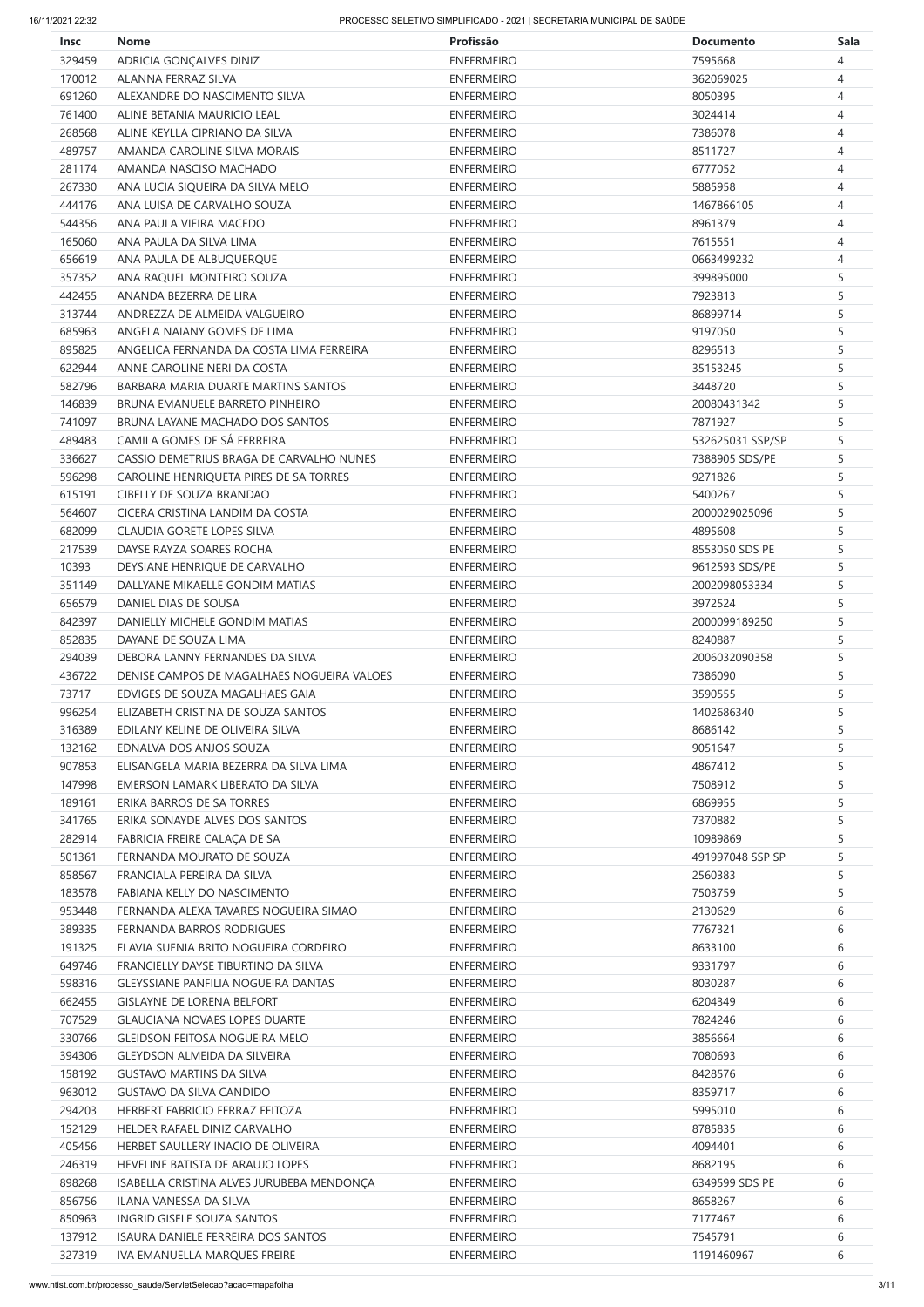| <b>Insc</b> | <b>Nome</b>                                | Profissão         | <b>Documento</b> | <b>Sala</b> |
|-------------|--------------------------------------------|-------------------|------------------|-------------|
| 329459      | ADRICIA GONÇALVES DINIZ                    | <b>ENFERMEIRO</b> | 7595668          | 4           |
| 170012      | ALANNA FERRAZ SILVA                        | <b>ENFERMEIRO</b> | 362069025        | 4           |
| 691260      | ALEXANDRE DO NASCIMENTO SILVA              | <b>ENFERMEIRO</b> | 8050395          | 4           |
| 761400      | ALINE BETANIA MAURICIO LEAL                | <b>ENFERMEIRO</b> | 3024414          | 4           |
| 268568      | ALINE KEYLLA CIPRIANO DA SILVA             | <b>ENFERMEIRO</b> | 7386078          | 4           |
| 489757      | AMANDA CAROLINE SILVA MORAIS               | <b>ENFERMEIRO</b> | 8511727          | 4           |
| 281174      | AMANDA NASCISO MACHADO                     | <b>ENFERMEIRO</b> | 6777052          | 4           |
| 267330      | ANA LUCIA SIQUEIRA DA SILVA MELO           | <b>ENFERMEIRO</b> | 5885958          | 4           |
| 444176      | ANA LUISA DE CARVALHO SOUZA                | <b>ENFERMEIRO</b> | 1467866105       | 4           |
| 544356      | ANA PAULA VIEIRA MACEDO                    | <b>ENFERMEIRO</b> | 8961379          | 4           |
| 165060      | ANA PAULA DA SILVA LIMA                    | <b>ENFERMEIRO</b> | 7615551          | 4           |
| 656619      | ANA PAULA DE ALBUQUERQUE                   | <b>ENFERMEIRO</b> | 0663499232       | 4           |
| 357352      | ANA RAQUEL MONTEIRO SOUZA                  | <b>ENFERMEIRO</b> | 399895000        | 5           |
| 442455      | ANANDA BEZERRA DE LIRA                     | <b>ENFERMEIRO</b> | 7923813          | 5           |
| 313744      | ANDREZZA DE ALMEIDA VALGUEIRO              | <b>ENFERMEIRO</b> | 86899714         | 5           |
| 685963      | ANGELA NAIANY GOMES DE LIMA                | <b>ENFERMEIRO</b> | 9197050          | 5           |
| 895825      | ANGELICA FERNANDA DA COSTA LIMA FERREIRA   | <b>ENFERMEIRO</b> | 8296513          | 5           |
| 622944      | ANNE CAROLINE NERI DA COSTA                | <b>ENFERMEIRO</b> | 35153245         | 5           |
| 582796      | BARBARA MARIA DUARTE MARTINS SANTOS        | <b>ENFERMEIRO</b> | 3448720          | 5           |
| 146839      | BRUNA EMANUELE BARRETO PINHEIRO            | <b>ENFERMEIRO</b> | 20080431342      | 5           |
| 741097      | BRUNA LAYANE MACHADO DOS SANTOS            | <b>ENFERMEIRO</b> | 7871927          | 5           |
| 489483      | CAMILA GOMES DE SÁ FERREIRA                | <b>ENFERMEIRO</b> | 532625031 SSP/SP | 5           |
| 336627      | CASSIO DEMETRIUS BRAGA DE CARVALHO NUNES   | <b>ENFERMEIRO</b> | 7388905 SDS/PE   | 5           |
| 596298      | CAROLINE HENRIQUETA PIRES DE SA TORRES     | <b>ENFERMEIRO</b> | 9271826          | 5           |
| 615191      | CIBELLY DE SOUZA BRANDAO                   | <b>ENFERMEIRO</b> | 5400267          | 5           |
| 564607      | CICERA CRISTINA LANDIM DA COSTA            | <b>ENFERMEIRO</b> | 2000029025096    | 5           |
| 682099      | CLAUDIA GORETE LOPES SILVA                 | <b>ENFERMEIRO</b> | 4895608          | 5           |
| 217539      | DAYSE RAYZA SOARES ROCHA                   | <b>ENFERMEIRO</b> | 8553050 SDS PE   | 5           |
| 10393       | DEYSIANE HENRIQUE DE CARVALHO              | <b>ENFERMEIRO</b> | 9612593 SDS/PE   | 5           |
| 351149      | DALLYANE MIKAELLE GONDIM MATIAS            | <b>ENFERMEIRO</b> | 2002098053334    | 5           |
| 656579      | DANIEL DIAS DE SOUSA                       | <b>ENFERMEIRO</b> | 3972524          | 5           |
| 842397      | DANIELLY MICHELE GONDIM MATIAS             | <b>ENFERMEIRO</b> | 2000099189250    | 5           |
| 852835      | DAYANE DE SOUZA LIMA                       | <b>ENFERMEIRO</b> | 8240887          | 5           |
| 294039      | DEBORA LANNY FERNANDES DA SILVA            | <b>ENFERMEIRO</b> | 2006032090358    | 5           |
| 436722      | DENISE CAMPOS DE MAGALHAES NOGUEIRA VALOES | <b>ENFERMEIRO</b> | 7386090          | 5           |
| 73717       | EDVIGES DE SOUZA MAGALHAES GAIA            | <b>ENFERMEIRO</b> | 3590555          | 5           |
| 996254      | ELIZABETH CRISTINA DE SOUZA SANTOS         | <b>ENFERMEIRO</b> | 1402686340       | 5           |
| 316389      | EDILANY KELINE DE OLIVEIRA SILVA           | <b>ENFERMEIRO</b> | 8686142          | 5           |
| 132162      | EDNALVA DOS ANJOS SOUZA                    | <b>ENFERMEIRO</b> | 9051647          | 5           |
| 907853      | ELISANGELA MARIA BEZERRA DA SILVA LIMA     | <b>ENFERMEIRO</b> | 4867412          | 5           |
| 147998      | EMERSON LAMARK LIBERATO DA SILVA           | <b>ENFERMEIRO</b> | 7508912          | 5           |
| 189161      | ERIKA BARROS DE SA TORRES                  | <b>ENFERMEIRO</b> | 6869955          | 5           |
| 341765      | ERIKA SONAYDE ALVES DOS SANTOS             | <b>ENFERMEIRO</b> | 7370882          | 5           |
| 282914      | FABRICIA FREIRE CALAÇA DE SA               | <b>ENFERMEIRO</b> | 10989869         | 5           |
| 501361      | FERNANDA MOURATO DE SOUZA                  | <b>ENFERMEIRO</b> | 491997048 SSP SP | 5           |
| 858567      | FRANCIALA PEREIRA DA SILVA                 | <b>ENFERMEIRO</b> | 2560383          | 5           |
| 183578      | <b>FABIANA KELLY DO NASCIMENTO</b>         | <b>ENFERMEIRO</b> | 7503759          | 5           |
| 953448      | FERNANDA ALEXA TAVARES NOGUEIRA SIMAO      | <b>ENFERMEIRO</b> | 2130629          | 6           |
| 389335      | FERNANDA BARROS RODRIGUES                  | <b>ENFERMEIRO</b> | 7767321          | 6           |
| 191325      | FLAVIA SUENIA BRITO NOGUEIRA CORDEIRO      | <b>ENFERMEIRO</b> | 8633100          | 6           |
| 649746      | FRANCIELLY DAYSE TIBURTINO DA SILVA        | <b>ENFERMEIRO</b> | 9331797          | 6           |
| 598316      | <b>GLEYSSIANE PANFILIA NOGUEIRA DANTAS</b> | <b>ENFERMEIRO</b> | 8030287          | 6           |
| 662455      | <b>GISLAYNE DE LORENA BELFORT</b>          | <b>ENFERMEIRO</b> | 6204349          | 6           |
| 707529      | <b>GLAUCIANA NOVAES LOPES DUARTE</b>       | <b>ENFERMEIRO</b> | 7824246          | 6           |
| 330766      | <b>GLEIDSON FEITOSA NOGUEIRA MELO</b>      | <b>ENFERMEIRO</b> | 3856664          | 6           |
| 394306      | <b>GLEYDSON ALMEIDA DA SILVEIRA</b>        | <b>ENFERMEIRO</b> | 7080693          | 6           |
| 158192      | <b>GUSTAVO MARTINS DA SILVA</b>            | <b>ENFERMEIRO</b> | 8428576          | 6           |
| 963012      | <b>GUSTAVO DA SILVA CANDIDO</b>            | <b>ENFERMEIRO</b> | 8359717          | 6           |
| 294203      | HERBERT FABRICIO FERRAZ FEITOZA            | <b>ENFERMEIRO</b> | 5995010          | 6           |
| 152129      | HELDER RAFAEL DINIZ CARVALHO               | <b>ENFERMEIRO</b> | 8785835          | 6           |
| 405456      | HERBET SAULLERY INACIO DE OLIVEIRA         | <b>ENFERMEIRO</b> | 4094401          | 6           |
| 246319      | HEVELINE BATISTA DE ARAUJO LOPES           | <b>ENFERMEIRO</b> | 8682195          | 6           |
| 898268      | ISABELLA CRISTINA ALVES JURUBEBA MENDONÇA  | <b>ENFERMEIRO</b> | 6349599 SDS PE   | 6           |
| 856756      | ILANA VANESSA DA SILVA                     | <b>ENFERMEIRO</b> | 8658267          | 6           |
| 850963      | INGRID GISELE SOUZA SANTOS                 | <b>ENFERMEIRO</b> | 7177467          | 6           |
| 137912      | <b>ISAURA DANIELE FERREIRA DOS SANTOS</b>  | <b>ENFERMEIRO</b> | 7545791          | 6           |
| 327319      | IVA EMANUELLA MARQUES FREIRE               | <b>ENFERMEIRO</b> | 1191460967       | 6           |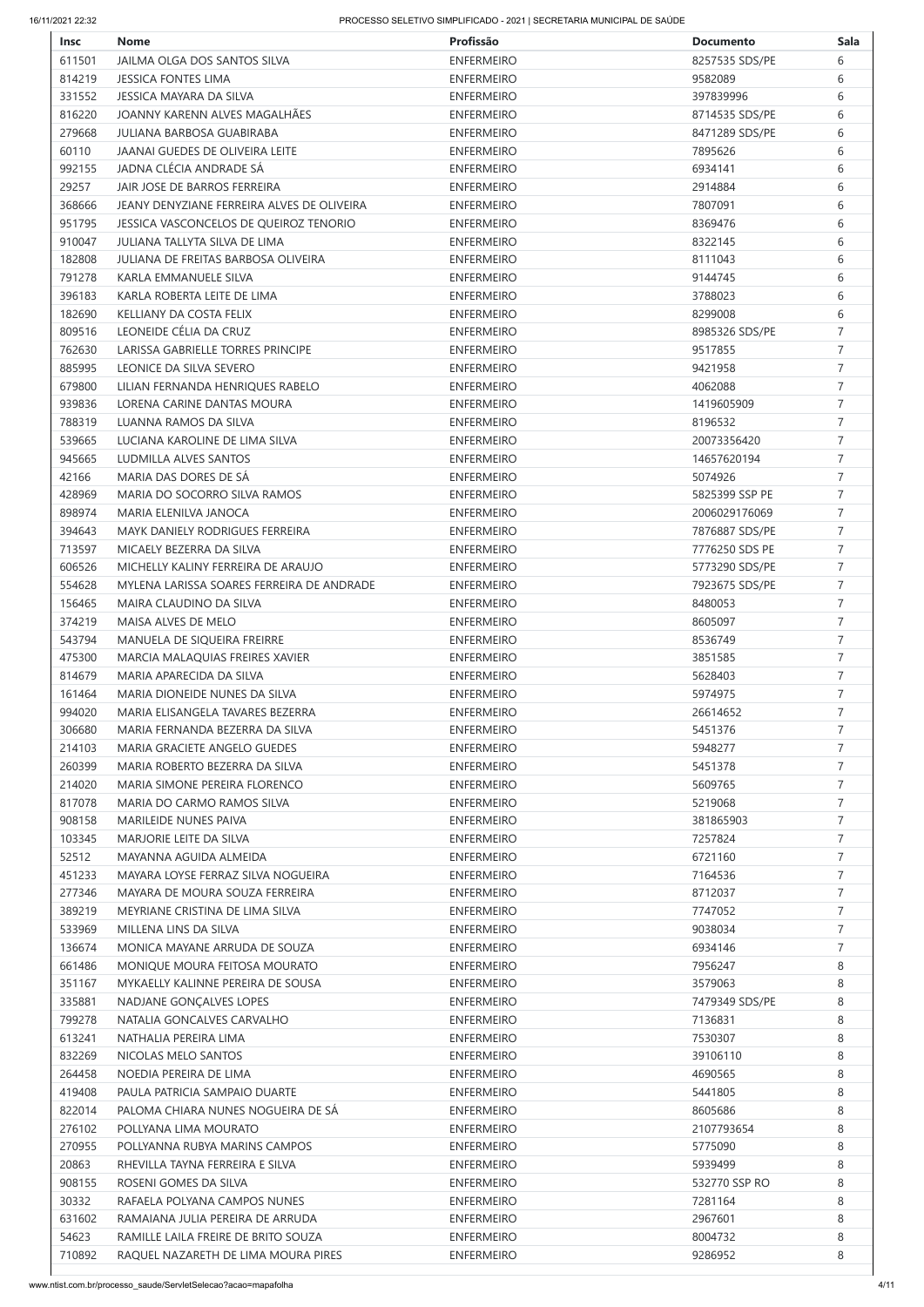| <b>Insc</b> | <b>Nome</b>                                | Profissão         | <b>Documento</b> | <b>Sala</b>    |
|-------------|--------------------------------------------|-------------------|------------------|----------------|
| 611501      | JAILMA OLGA DOS SANTOS SILVA               | <b>ENFERMEIRO</b> | 8257535 SDS/PE   | 6              |
| 814219      | <b>JESSICA FONTES LIMA</b>                 | <b>ENFERMEIRO</b> | 9582089          | 6              |
| 331552      | <b>JESSICA MAYARA DA SILVA</b>             | <b>ENFERMEIRO</b> | 397839996        | 6              |
| 816220      | JOANNY KARENN ALVES MAGALHÃES              | <b>ENFERMEIRO</b> | 8714535 SDS/PE   | 6              |
| 279668      | <b>JULIANA BARBOSA GUABIRABA</b>           | <b>ENFERMEIRO</b> | 8471289 SDS/PE   | 6              |
| 60110       | <b>JAANAI GUEDES DE OLIVEIRA LEITE</b>     | <b>ENFERMEIRO</b> | 7895626          | 6              |
| 992155      | JADNA CLÉCIA ANDRADE SÁ                    | <b>ENFERMEIRO</b> | 6934141          | 6              |
| 29257       | JAIR JOSE DE BARROS FERREIRA               | <b>ENFERMEIRO</b> | 2914884          | 6              |
| 368666      | JEANY DENYZIANE FERREIRA ALVES DE OLIVEIRA | <b>ENFERMEIRO</b> | 7807091          | 6              |
| 951795      | JESSICA VASCONCELOS DE QUEIROZ TENORIO     | <b>ENFERMEIRO</b> | 8369476          | 6              |
| 910047      | JULIANA TALLYTA SILVA DE LIMA              | <b>ENFERMEIRO</b> | 8322145          | 6              |
| 182808      | <b>JULIANA DE FREITAS BARBOSA OLIVEIRA</b> | <b>ENFERMEIRO</b> | 8111043          | 6              |
| 791278      | KARLA EMMANUELE SILVA                      | <b>ENFERMEIRO</b> | 9144745          | 6              |
| 396183      | KARLA ROBERTA LEITE DE LIMA                | <b>ENFERMEIRO</b> | 3788023          | 6              |
| 182690      | KELLIANY DA COSTA FELIX                    | <b>ENFERMEIRO</b> | 8299008          | 6              |
| 809516      | LEONEIDE CÉLIA DA CRUZ                     | <b>ENFERMEIRO</b> | 8985326 SDS/PE   | $\overline{7}$ |
| 762630      | LARISSA GABRIELLE TORRES PRINCIPE          | <b>ENFERMEIRO</b> | 9517855          | $\overline{7}$ |
| 885995      | LEONICE DA SILVA SEVERO                    | <b>ENFERMEIRO</b> | 9421958          | $\overline{7}$ |
|             | LILIAN FERNANDA HENRIQUES RABELO           |                   |                  | $\overline{7}$ |
| 679800      |                                            | <b>ENFERMEIRO</b> | 4062088          |                |
| 939836      | LORENA CARINE DANTAS MOURA                 | <b>ENFERMEIRO</b> | 1419605909       | 7              |
| 788319      | LUANNA RAMOS DA SILVA                      | <b>ENFERMEIRO</b> | 8196532          | $\overline{7}$ |
| 539665      | LUCIANA KAROLINE DE LIMA SILVA             | <b>ENFERMEIRO</b> | 20073356420      | $\overline{7}$ |
| 945665      | <b>LUDMILLA ALVES SANTOS</b>               | <b>ENFERMEIRO</b> | 14657620194      | $\overline{7}$ |
| 42166       | MARIA DAS DORES DE SÁ                      | <b>ENFERMEIRO</b> | 5074926          | $\overline{7}$ |
| 428969      | MARIA DO SOCORRO SILVA RAMOS               | <b>ENFERMEIRO</b> | 5825399 SSP PE   | $\overline{7}$ |
| 898974      | MARIA ELENILVA JANOCA                      | <b>ENFERMEIRO</b> | 2006029176069    | $\overline{7}$ |
| 394643      | MAYK DANIELY RODRIGUES FERREIRA            | <b>ENFERMEIRO</b> | 7876887 SDS/PE   | $\overline{7}$ |
| 713597      | MICAELY BEZERRA DA SILVA                   | <b>ENFERMEIRO</b> | 7776250 SDS PE   | $\overline{7}$ |
| 606526      | MICHELLY KALINY FERREIRA DE ARAUJO         | <b>ENFERMEIRO</b> | 5773290 SDS/PE   | $\overline{7}$ |
| 554628      | MYLENA LARISSA SOARES FERREIRA DE ANDRADE  | <b>ENFERMEIRO</b> | 7923675 SDS/PE   | $\overline{7}$ |
| 156465      | MAIRA CLAUDINO DA SILVA                    | <b>ENFERMEIRO</b> | 8480053          | $\overline{7}$ |
| 374219      | MAISA ALVES DE MELO                        | <b>ENFERMEIRO</b> | 8605097          | $\overline{7}$ |
| 543794      | MANUELA DE SIQUEIRA FREIRRE                | <b>ENFERMEIRO</b> | 8536749          | $\overline{7}$ |
| 475300      | MARCIA MALAQUIAS FREIRES XAVIER            | <b>ENFERMEIRO</b> | 3851585          | $\overline{7}$ |
| 814679      | MARIA APARECIDA DA SILVA                   | <b>ENFERMEIRO</b> | 5628403          | $\overline{7}$ |
| 161464      | MARIA DIONEIDE NUNES DA SILVA              | <b>ENFERMEIRO</b> | 5974975          | $\overline{7}$ |
| 994020      | MARIA ELISANGELA TAVARES BEZERRA           | <b>ENFERMEIRO</b> | 26614652         | 7              |
| 306680      | MARIA FERNANDA BEZERRA DA SILVA            | <b>ENFERMEIRO</b> | 5451376          | 7              |
| 214103      | MARIA GRACIETE ANGELO GUEDES               | <b>ENFERMEIRO</b> | 5948277          | $\overline{7}$ |
| 260399      | MARIA ROBERTO BEZERRA DA SILVA             | <b>ENFERMEIRO</b> | 5451378          | 7              |
| 214020      | MARIA SIMONE PEREIRA FLORENCO              | <b>ENFERMEIRO</b> | 5609765          | 7              |
| 817078      | MARIA DO CARMO RAMOS SILVA                 | <b>ENFERMEIRO</b> | 5219068          | 7              |
| 908158      | <b>MARILEIDE NUNES PAIVA</b>               | <b>ENFERMEIRO</b> | 381865903        | $\overline{7}$ |
| 103345      | MARJORIE LEITE DA SILVA                    | <b>ENFERMEIRO</b> | 7257824          | $\overline{7}$ |
| 52512       | MAYANNA AGUIDA ALMEIDA                     | <b>ENFERMEIRO</b> | 6721160          | 7              |
| 451233      | MAYARA LOYSE FERRAZ SILVA NOGUEIRA         | <b>ENFERMEIRO</b> | 7164536          | 7              |
| 277346      | MAYARA DE MOURA SOUZA FERREIRA             | <b>ENFERMEIRO</b> | 8712037          | $\overline{7}$ |
| 389219      | MEYRIANE CRISTINA DE LIMA SILVA            | <b>ENFERMEIRO</b> | 7747052          | $\overline{7}$ |
| 533969      | MILLENA LINS DA SILVA                      | <b>ENFERMEIRO</b> | 9038034          | 7              |
| 136674      | MONICA MAYANE ARRUDA DE SOUZA              | <b>ENFERMEIRO</b> | 6934146          | 7              |
| 661486      | MONIQUE MOURA FEITOSA MOURATO              | <b>ENFERMEIRO</b> | 7956247          | 8              |
| 351167      | MYKAELLY KALINNE PEREIRA DE SOUSA          | <b>ENFERMEIRO</b> | 3579063          | 8              |
| 335881      | NADJANE GONÇALVES LOPES                    | <b>ENFERMEIRO</b> | 7479349 SDS/PE   | 8              |
| 799278      | NATALIA GONCALVES CARVALHO                 | <b>ENFERMEIRO</b> | 7136831          | 8              |
| 613241      | NATHALIA PEREIRA LIMA                      | <b>ENFERMEIRO</b> | 7530307          | 8              |
| 832269      | NICOLAS MELO SANTOS                        | <b>ENFERMEIRO</b> | 39106110         | 8              |
| 264458      | NOEDIA PEREIRA DE LIMA                     | <b>ENFERMEIRO</b> | 4690565          | 8              |
| 419408      | PAULA PATRICIA SAMPAIO DUARTE              | <b>ENFERMEIRO</b> | 5441805          | 8              |
| 822014      | PALOMA CHIARA NUNES NOGUEIRA DE SÁ         | <b>ENFERMEIRO</b> | 8605686          | 8              |
| 276102      | POLLYANA LIMA MOURATO                      | <b>ENFERMEIRO</b> | 2107793654       | 8              |
| 270955      | POLLYANNA RUBYA MARINS CAMPOS              | <b>ENFERMEIRO</b> | 5775090          | 8              |
| 20863       | RHEVILLA TAYNA FERREIRA E SILVA            | <b>ENFERMEIRO</b> | 5939499          | 8              |
| 908155      | ROSENI GOMES DA SILVA                      | <b>ENFERMEIRO</b> | 532770 SSP RO    | 8              |
| 30332       | RAFAELA POLYANA CAMPOS NUNES               | <b>ENFERMEIRO</b> | 7281164          | 8              |
| 631602      | RAMAIANA JULIA PEREIRA DE ARRUDA           | <b>ENFERMEIRO</b> | 2967601          | 8              |
| 54623       | RAMILLE LAILA FREIRE DE BRITO SOUZA        | <b>ENFERMEIRO</b> | 8004732          | 8              |
| 710892      | RAQUEL NAZARETH DE LIMA MOURA PIRES        | <b>ENFERMEIRO</b> | 9286952          | 8              |
|             |                                            |                   |                  |                |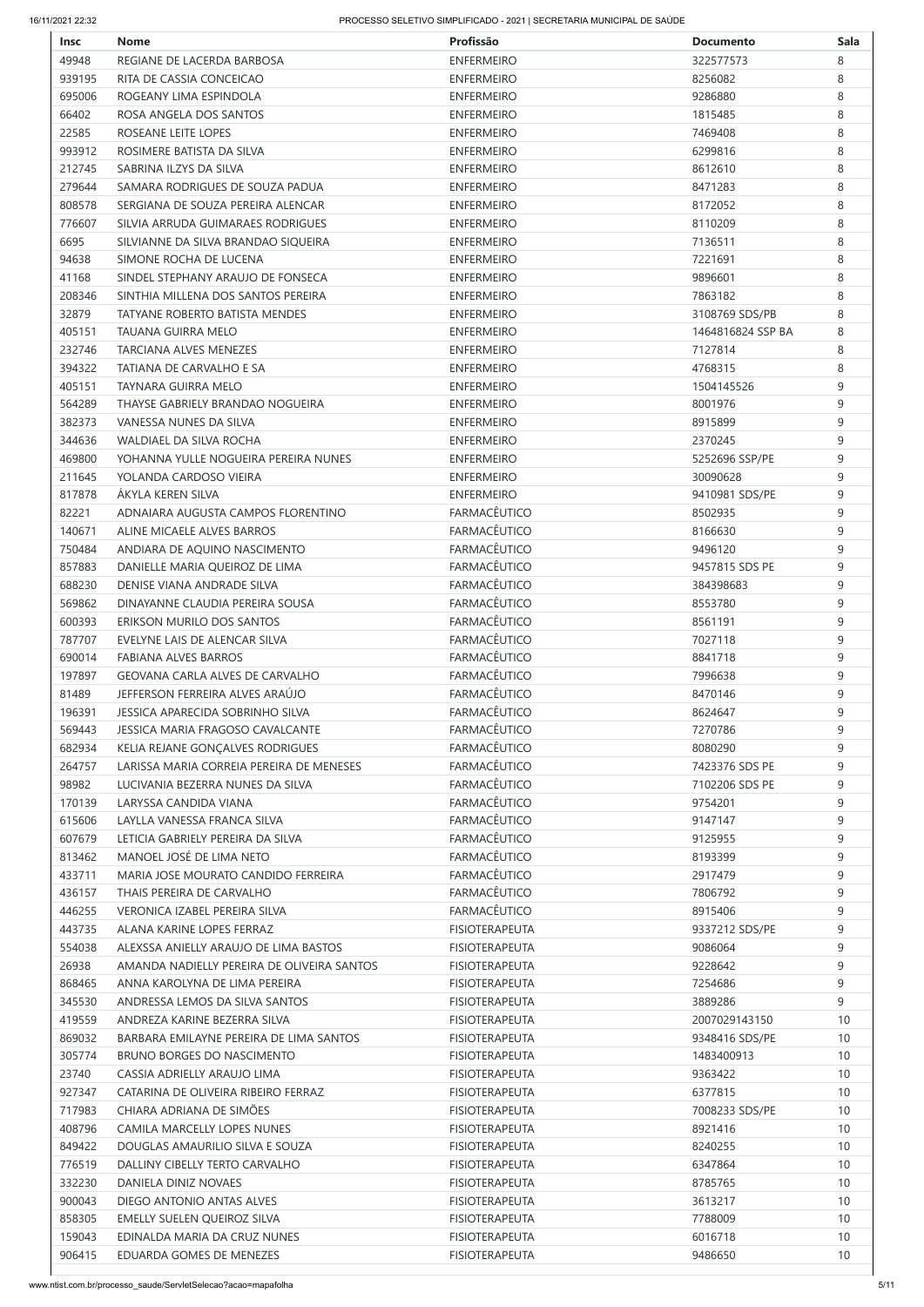| <b>Insc</b> | <b>Nome</b>                                                   | Profissão                              | <b>Documento</b>  | <b>Sala</b> |
|-------------|---------------------------------------------------------------|----------------------------------------|-------------------|-------------|
| 49948       | REGIANE DE LACERDA BARBOSA                                    | <b>ENFERMEIRO</b>                      | 322577573         | 8           |
| 939195      | RITA DE CASSIA CONCEICAO                                      | <b>ENFERMEIRO</b>                      | 8256082           | 8           |
| 695006      | ROGEANY LIMA ESPINDOLA                                        | <b>ENFERMEIRO</b>                      | 9286880           | 8           |
| 66402       | ROSA ANGELA DOS SANTOS                                        | <b>ENFERMEIRO</b>                      | 1815485           | 8           |
| 22585       | ROSEANE LEITE LOPES                                           | <b>ENFERMEIRO</b>                      | 7469408           | 8           |
| 993912      | ROSIMERE BATISTA DA SILVA                                     | <b>ENFERMEIRO</b>                      | 6299816           | 8           |
| 212745      | SABRINA ILZYS DA SILVA                                        | <b>ENFERMEIRO</b>                      | 8612610           | 8           |
| 279644      | SAMARA RODRIGUES DE SOUZA PADUA                               | <b>ENFERMEIRO</b>                      | 8471283           | 8           |
| 808578      | SERGIANA DE SOUZA PEREIRA ALENCAR                             | <b>ENFERMEIRO</b>                      | 8172052           | 8           |
| 776607      | SILVIA ARRUDA GUIMARAES RODRIGUES                             | <b>ENFERMEIRO</b>                      | 8110209           | 8           |
|             |                                                               |                                        |                   | 8           |
| 6695        | SILVIANNE DA SILVA BRANDAO SIQUEIRA<br>SIMONE ROCHA DE LUCENA | <b>ENFERMEIRO</b><br><b>ENFERMEIRO</b> | 7136511           | 8           |
| 94638       |                                                               |                                        | 7221691           |             |
| 41168       | SINDEL STEPHANY ARAUJO DE FONSECA                             | <b>ENFERMEIRO</b>                      | 9896601           | 8           |
| 208346      | SINTHIA MILLENA DOS SANTOS PEREIRA                            | <b>ENFERMEIRO</b>                      | 7863182           | 8           |
| 32879       | <b>TATYANE ROBERTO BATISTA MENDES</b>                         | <b>ENFERMEIRO</b>                      | 3108769 SDS/PB    | 8           |
| 405151      | <b>TAUANA GUIRRA MELO</b>                                     | <b>ENFERMEIRO</b>                      | 1464816824 SSP BA | 8           |
| 232746      | TARCIANA ALVES MENEZES                                        | <b>ENFERMEIRO</b>                      | 7127814           | 8           |
| 394322      | TATIANA DE CARVALHO E SA                                      | <b>ENFERMEIRO</b>                      | 4768315           | 8           |
| 405151      | TAYNARA GUIRRA MELO                                           | <b>ENFERMEIRO</b>                      | 1504145526        | 9           |
| 564289      | THAYSE GABRIELY BRANDAO NOGUEIRA                              | <b>ENFERMEIRO</b>                      | 8001976           | 9           |
| 382373      | VANESSA NUNES DA SILVA                                        | <b>ENFERMEIRO</b>                      | 8915899           | 9           |
| 344636      | <b>WALDIAEL DA SILVA ROCHA</b>                                | <b>ENFERMEIRO</b>                      | 2370245           | 9           |
| 469800      | YOHANNA YULLE NOGUEIRA PEREIRA NUNES                          | <b>ENFERMEIRO</b>                      | 5252696 SSP/PE    | 9           |
| 211645      | YOLANDA CARDOSO VIEIRA                                        | <b>ENFERMEIRO</b>                      | 30090628          | 9           |
| 817878      | ÁKYLA KEREN SILVA                                             | <b>ENFERMEIRO</b>                      | 9410981 SDS/PE    | 9           |
| 82221       | ADNAIARA AUGUSTA CAMPOS FLORENTINO                            | <b>FARMACÊUTICO</b>                    | 8502935           | 9           |
| 140671      | ALINE MICAELE ALVES BARROS                                    | <b>FARMACÊUTICO</b>                    | 8166630           | 9           |
| 750484      | ANDIARA DE AQUINO NASCIMENTO                                  | <b>FARMACÊUTICO</b>                    | 9496120           | 9           |
| 857883      | DANIELLE MARIA QUEIROZ DE LIMA                                | <b>FARMACÊUTICO</b>                    | 9457815 SDS PE    | 9           |
| 688230      | DENISE VIANA ANDRADE SILVA                                    | <b>FARMACÊUTICO</b>                    | 384398683         | 9           |
| 569862      | DINAYANNE CLAUDIA PEREIRA SOUSA                               | <b>FARMACÊUTICO</b>                    | 8553780           | 9           |
| 600393      | ERIKSON MURILO DOS SANTOS                                     | <b>FARMACÊUTICO</b>                    | 8561191           | 9           |
| 787707      | EVELYNE LAIS DE ALENCAR SILVA                                 | <b>FARMACÊUTICO</b>                    | 7027118           | 9           |
| 690014      | <b>FABIANA ALVES BARROS</b>                                   | <b>FARMACÊUTICO</b>                    | 8841718           | 9           |
| 197897      | <b>GEOVANA CARLA ALVES DE CARVALHO</b>                        | <b>FARMACÊUTICO</b>                    | 7996638           | 9           |
| 81489       | JEFFERSON FERREIRA ALVES ARAÚJO                               | <b>FARMACÊUTICO</b>                    | 8470146           | $\mathsf 9$ |
| 196391      | JESSICA APARECIDA SOBRINHO SILVA                              | <b>FARMACÊUTICO</b>                    | 8624647           | 9           |
|             |                                                               |                                        |                   |             |
| 569443      | JESSICA MARIA FRAGOSO CAVALCANTE                              | <b>FARMACÊUTICO</b>                    | 7270786           | 9           |
| 682934      | KELIA REJANE GONÇALVES RODRIGUES                              | <b>FARMACÊUTICO</b>                    | 8080290           | 9           |
| 264757      | LARISSA MARIA CORREIA PEREIRA DE MENESES                      | <b>FARMACÊUTICO</b>                    | 7423376 SDS PE    | 9           |
| 98982       | LUCIVANIA BEZERRA NUNES DA SILVA                              | <b>FARMACÊUTICO</b>                    | 7102206 SDS PE    | 9           |
| 170139      | LARYSSA CANDIDA VIANA                                         | <b>FARMACÊUTICO</b>                    | 9754201           | 9           |
| 615606      | LAYLLA VANESSA FRANCA SILVA                                   | <b>FARMACÊUTICO</b>                    | 9147147           | 9           |
| 607679      | LETICIA GABRIELY PEREIRA DA SILVA                             | <b>FARMACÊUTICO</b>                    | 9125955           | 9           |
| 813462      | MANOEL JOSÉ DE LIMA NETO                                      | <b>FARMACÊUTICO</b>                    | 8193399           | 9           |
| 433711      | MARIA JOSE MOURATO CANDIDO FERREIRA                           | <b>FARMACÊUTICO</b>                    | 2917479           | 9           |
| 436157      | THAIS PEREIRA DE CARVALHO                                     | <b>FARMACÊUTICO</b>                    | 7806792           | 9           |
| 446255      | <b>VERONICA IZABEL PEREIRA SILVA</b>                          | <b>FARMACÊUTICO</b>                    | 8915406           | 9           |
| 443735      | ALANA KARINE LOPES FERRAZ                                     | <b>FISIOTERAPEUTA</b>                  | 9337212 SDS/PE    | 9           |
| 554038      | ALEXSSA ANIELLY ARAUJO DE LIMA BASTOS                         | <b>FISIOTERAPEUTA</b>                  | 9086064           | 9           |
| 26938       | AMANDA NADIELLY PEREIRA DE OLIVEIRA SANTOS                    | <b>FISIOTERAPEUTA</b>                  | 9228642           | 9           |
| 868465      | ANNA KAROLYNA DE LIMA PEREIRA                                 | <b>FISIOTERAPEUTA</b>                  | 7254686           | 9           |
| 345530      | ANDRESSA LEMOS DA SILVA SANTOS                                | <b>FISIOTERAPEUTA</b>                  | 3889286           | 9           |
| 419559      | ANDREZA KARINE BEZERRA SILVA                                  | <b>FISIOTERAPEUTA</b>                  | 2007029143150     | 10          |
| 869032      | BARBARA EMILAYNE PEREIRA DE LIMA SANTOS                       | <b>FISIOTERAPEUTA</b>                  | 9348416 SDS/PE    | 10          |
| 305774      | BRUNO BORGES DO NASCIMENTO                                    | <b>FISIOTERAPEUTA</b>                  | 1483400913        | 10          |
| 23740       | CASSIA ADRIELLY ARAUJO LIMA                                   | <b>FISIOTERAPEUTA</b>                  | 9363422           | 10          |
| 927347      | CATARINA DE OLIVEIRA RIBEIRO FERRAZ                           | <b>FISIOTERAPEUTA</b>                  | 6377815           | 10          |
| 717983      | CHIARA ADRIANA DE SIMÕES                                      | <b>FISIOTERAPEUTA</b>                  | 7008233 SDS/PE    | 10          |
| 408796      | CAMILA MARCELLY LOPES NUNES                                   | <b>FISIOTERAPEUTA</b>                  | 8921416           | 10          |
| 849422      | DOUGLAS AMAURILIO SILVA E SOUZA                               | <b>FISIOTERAPEUTA</b>                  | 8240255           | 10          |
| 776519      | DALLINY CIBELLY TERTO CARVALHO                                | <b>FISIOTERAPEUTA</b>                  | 6347864           | 10          |
| 332230      | DANIELA DINIZ NOVAES                                          | <b>FISIOTERAPEUTA</b>                  | 8785765           | 10          |
| 900043      | DIEGO ANTONIO ANTAS ALVES                                     | <b>FISIOTERAPEUTA</b>                  | 3613217           | 10          |
|             |                                                               | <b>FISIOTERAPEUTA</b>                  |                   | 10          |
| 858305      | EMELLY SUELEN QUEIROZ SILVA                                   |                                        | 7788009           |             |
| 159043      | EDINALDA MARIA DA CRUZ NUNES                                  | <b>FISIOTERAPEUTA</b>                  | 6016718           | 10          |
| 906415      | EDUARDA GOMES DE MENEZES                                      | <b>FISIOTERAPEUTA</b>                  | 9486650           | 10          |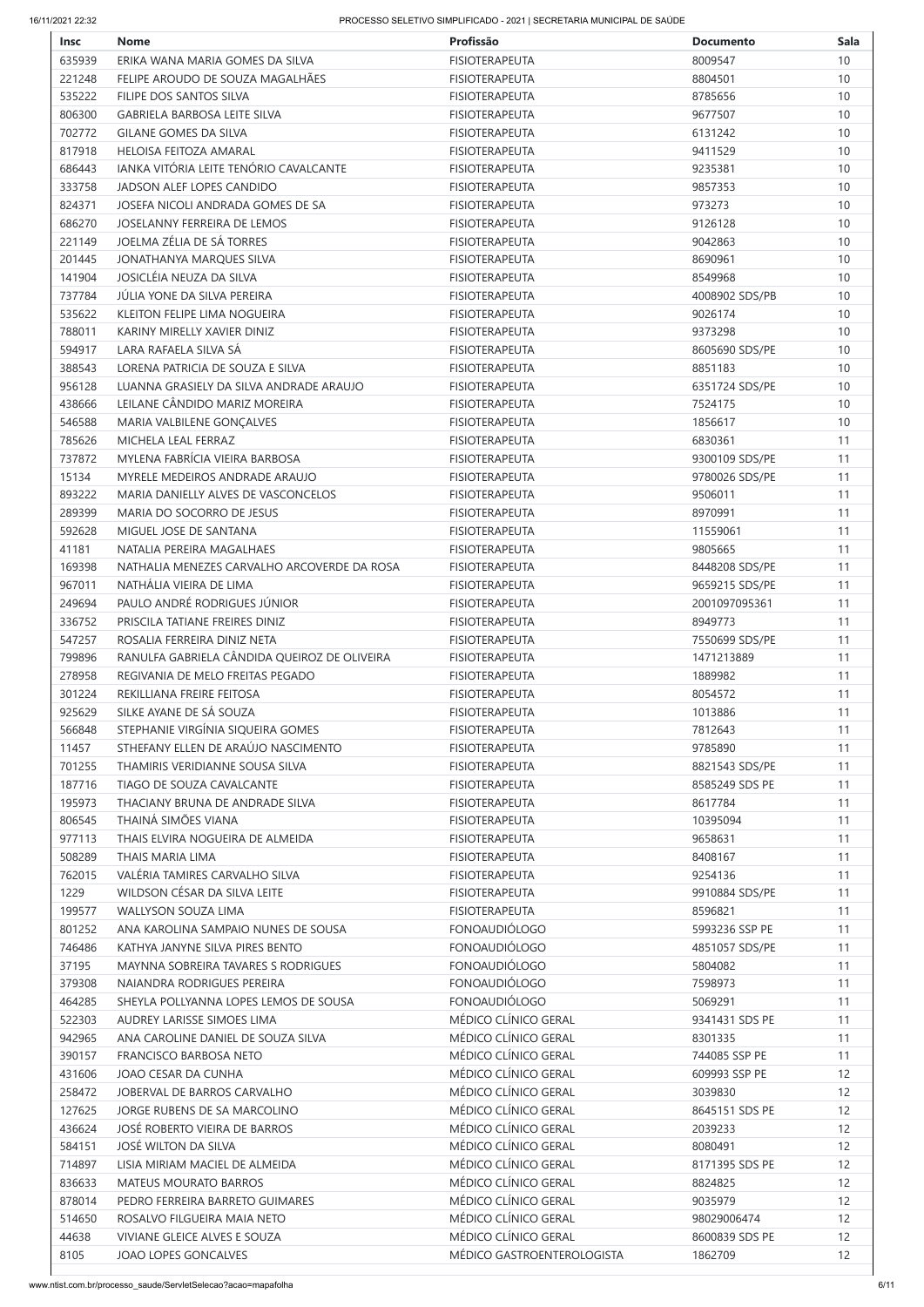| <b>Insc</b> | <b>Nome</b>                                   | Profissão             | <b>Documento</b> | <b>Sala</b> |
|-------------|-----------------------------------------------|-----------------------|------------------|-------------|
| 635939      | ERIKA WANA MARIA GOMES DA SILVA               | <b>FISIOTERAPEUTA</b> | 8009547          | 10          |
| 221248      | FELIPE AROUDO DE SOUZA MAGALHÃES              | <b>FISIOTERAPEUTA</b> | 8804501          | 10          |
| 535222      | FILIPE DOS SANTOS SILVA                       | <b>FISIOTERAPEUTA</b> | 8785656          | 10          |
| 806300      | <b>GABRIELA BARBOSA LEITE SILVA</b>           | <b>FISIOTERAPEUTA</b> | 9677507          | 10          |
| 702772      | <b>GILANE GOMES DA SILVA</b>                  | <b>FISIOTERAPEUTA</b> | 6131242          | 10          |
| 817918      | HELOISA FEITOZA AMARAL                        | <b>FISIOTERAPEUTA</b> | 9411529          | 10          |
| 686443      | <b>IANKA VITÓRIA LEITE TENÓRIO CAVALCANTE</b> | <b>FISIOTERAPEUTA</b> | 9235381          | 10          |
|             | JADSON ALEF LOPES CANDIDO                     |                       |                  |             |
| 333758      |                                               | <b>FISIOTERAPEUTA</b> | 9857353          | 10          |
| 824371      | JOSEFA NICOLI ANDRADA GOMES DE SA             | <b>FISIOTERAPEUTA</b> | 973273           | 10          |
| 686270      | <b>JOSELANNY FERREIRA DE LEMOS</b>            | <b>FISIOTERAPEUTA</b> | 9126128          | 10          |
| 221149      | JOELMA ZÉLIA DE SÁ TORRES                     | <b>FISIOTERAPEUTA</b> | 9042863          | 10          |
| 201445      | JONATHANYA MARQUES SILVA                      | <b>FISIOTERAPEUTA</b> | 8690961          | 10          |
| 141904      | JOSICLÉIA NEUZA DA SILVA                      | <b>FISIOTERAPEUTA</b> | 8549968          | 10          |
| 737784      | JÚLIA YONE DA SILVA PEREIRA                   | <b>FISIOTERAPEUTA</b> | 4008902 SDS/PB   | 10          |
| 535622      | <b>KLEITON FELIPE LIMA NOGUEIRA</b>           | <b>FISIOTERAPEUTA</b> | 9026174          | 10          |
| 788011      | KARINY MIRELLY XAVIER DINIZ                   | <b>FISIOTERAPEUTA</b> | 9373298          | 10          |
| 594917      | LARA RAFAELA SILVA SÁ                         | <b>FISIOTERAPEUTA</b> | 8605690 SDS/PE   | 10          |
| 388543      | LORENA PATRICIA DE SOUZA E SILVA              | <b>FISIOTERAPEUTA</b> | 8851183          | 10          |
| 956128      | LUANNA GRASIELY DA SILVA ANDRADE ARAUJO       | <b>FISIOTERAPEUTA</b> | 6351724 SDS/PE   | 10          |
| 438666      | LEILANE CÂNDIDO MARIZ MOREIRA                 | <b>FISIOTERAPEUTA</b> | 7524175          | 10          |
| 546588      | MARIA VALBILENE GONÇALVES                     | <b>FISIOTERAPEUTA</b> | 1856617          | 10          |
| 785626      | MICHELA LEAL FERRAZ                           | <b>FISIOTERAPEUTA</b> | 6830361          | 11          |
| 737872      | MYLENA FABRÍCIA VIEIRA BARBOSA                | <b>FISIOTERAPEUTA</b> | 9300109 SDS/PE   | 11          |
| 15134       | MYRELE MEDEIROS ANDRADE ARAUJO                | <b>FISIOTERAPEUTA</b> | 9780026 SDS/PE   | 11          |
| 893222      | MARIA DANIELLY ALVES DE VASCONCELOS           | <b>FISIOTERAPEUTA</b> | 9506011          | 11          |
| 289399      | MARIA DO SOCORRO DE JESUS                     | <b>FISIOTERAPEUTA</b> | 8970991          | 11          |
|             |                                               |                       |                  |             |
| 592628      | MIGUEL JOSE DE SANTANA                        | <b>FISIOTERAPEUTA</b> | 11559061         | 11          |
| 41181       | NATALIA PEREIRA MAGALHAES                     | <b>FISIOTERAPEUTA</b> | 9805665          | 11          |
| 169398      | NATHALIA MENEZES CARVALHO ARCOVERDE DA ROSA   | <b>FISIOTERAPEUTA</b> | 8448208 SDS/PE   | 11          |
| 967011      | NATHÁLIA VIEIRA DE LIMA                       | <b>FISIOTERAPEUTA</b> | 9659215 SDS/PE   | 11          |
| 249694      | PAULO ANDRÉ RODRIGUES JÚNIOR                  | <b>FISIOTERAPEUTA</b> | 2001097095361    | 11          |
| 336752      | PRISCILA TATIANE FREIRES DINIZ                | <b>FISIOTERAPEUTA</b> | 8949773          | 11          |
| 547257      | ROSALIA FERREIRA DINIZ NETA                   | <b>FISIOTERAPEUTA</b> | 7550699 SDS/PE   | 11          |
| 799896      | RANULFA GABRIELA CÂNDIDA QUEIROZ DE OLIVEIRA  | <b>FISIOTERAPEUTA</b> | 1471213889       | 11          |
| 278958      | REGIVANIA DE MELO FREITAS PEGADO              | <b>FISIOTERAPEUTA</b> | 1889982          | 11          |
| 301224      | REKILLIANA FREIRE FEITOSA                     | <b>FISIOTERAPEUTA</b> | 8054572          | 11          |
| 925629      | SILKE AYANE DE SÁ SOUZA                       | <b>FISIOTERAPEUTA</b> | 1013886          | 11          |
| 566848      | STEPHANIE VIRGÍNIA SIQUEIRA GOMES             | <b>FISIOTERAPEUTA</b> | 7812643          | 11          |
| 11457       | STHEFANY ELLEN DE ARAÚJO NASCIMENTO           | <b>FISIOTERAPEUTA</b> | 9785890          | 11          |
| 701255      | THAMIRIS VERIDIANNE SOUSA SILVA               | <b>FISIOTERAPEUTA</b> | 8821543 SDS/PE   | 11          |
| 187716      | TIAGO DE SOUZA CAVALCANTE                     | <b>FISIOTERAPEUTA</b> | 8585249 SDS PE   | 11          |
| 195973      | THACIANY BRUNA DE ANDRADE SILVA               | <b>FISIOTERAPEUTA</b> | 8617784          | 11          |
| 806545      | THAINÁ SIMÕES VIANA                           | <b>FISIOTERAPEUTA</b> | 10395094         |             |
|             |                                               |                       |                  | 11          |
| 977113      | THAIS ELVIRA NOGUEIRA DE ALMEIDA              | <b>FISIOTERAPEUTA</b> | 9658631          | 11          |
| 508289      | THAIS MARIA LIMA                              | <b>FISIOTERAPEUTA</b> | 8408167          | 11          |
| 762015      | VALÉRIA TAMIRES CARVALHO SILVA                | <b>FISIOTERAPEUTA</b> | 9254136          | 11          |
| 1229        | WILDSON CÉSAR DA SILVA LEITE                  | <b>FISIOTERAPEUTA</b> | 9910884 SDS/PE   | 11          |
| 199577      | WALLYSON SOUZA LIMA                           | <b>FISIOTERAPEUTA</b> | 8596821          | 11          |
| 801252      | ANA KAROLINA SAMPAIO NUNES DE SOUSA           | <b>FONOAUDIÓLOGO</b>  | 5993236 SSP PE   | 11          |
| 746486      | KATHYA JANYNE SILVA PIRES BENTO               | <b>FONOAUDIÓLOGO</b>  | 4851057 SDS/PE   | 11          |
| 37195       | <b>MAYNNA SOBREIRA TAVARES S RODRIGUES</b>    | <b>FONOAUDIÓLOGO</b>  | 5804082          | 11          |
| 379308      | NAIANDRA RODRIGUES PEREIRA                    | <b>FONOAUDIÓLOGO</b>  | 7598973          | 11          |
| 464285      | SHEYLA POLLYANNA LOPES LEMOS DE SOUSA         | <b>FONOAUDIÓLOGO</b>  | 5069291          | 11          |
| 522303      | AUDREY LARISSE SIMOES LIMA                    | MÉDICO CLÍNICO GERAL  | 9341431 SDS PE   | 11          |
| 942965      | ANA CAROLINE DANIEL DE SOUZA SILVA            | MÉDICO CLÍNICO GERAL  | 8301335          | 11          |
| 390157      | <b>FRANCISCO BARBOSA NETO</b>                 | MÉDICO CLÍNICO GERAL  | 744085 SSP PE    | 11          |
| 431606      | JOAO CESAR DA CUNHA                           | MÉDICO CLÍNICO GERAL  | 609993 SSP PE    | 12          |
| 258472      | JOBERVAL DE BARROS CARVALHO                   | MÉDICO CLÍNICO GERAL  | 3039830          | 12          |
| 127625      | JORGE RUBENS DE SA MARCOLINO                  | MÉDICO CLÍNICO GERAL  | 8645151 SDS PE   | 12          |
|             | JOSÉ ROBERTO VIEIRA DE BARROS                 | MÉDICO CLÍNICO GERAL  |                  | 12          |
| 436624      |                                               |                       | 2039233          |             |
| 584151      | JOSÉ WILTON DA SILVA                          | MÉDICO CLÍNICO GERAL  | 8080491          | 12          |
| 714897      | LISIA MIRIAM MACIEL DE ALMEIDA                | MÉDICO CLÍNICO GERAL  | 8171395 SDS PE   | 12          |
| 836633      | <b>MATEUS MOURATO BARROS</b>                  | MÉDICO CLÍNICO GERAL  | 8824825          | 12          |
|             |                                               |                       |                  | 12          |
| 878014      | PEDRO FERREIRA BARRETO GUIMARES               | MÉDICO CLÍNICO GERAL  | 9035979          |             |
| 514650      | ROSALVO FILGUEIRA MAIA NETO                   | MÉDICO CLÍNICO GERAL  | 98029006474      | 12          |
| 44638       | VIVIANE GLEICE ALVES E SOUZA                  | MÉDICO CLÍNICO GERAL  | 8600839 SDS PE   | 12          |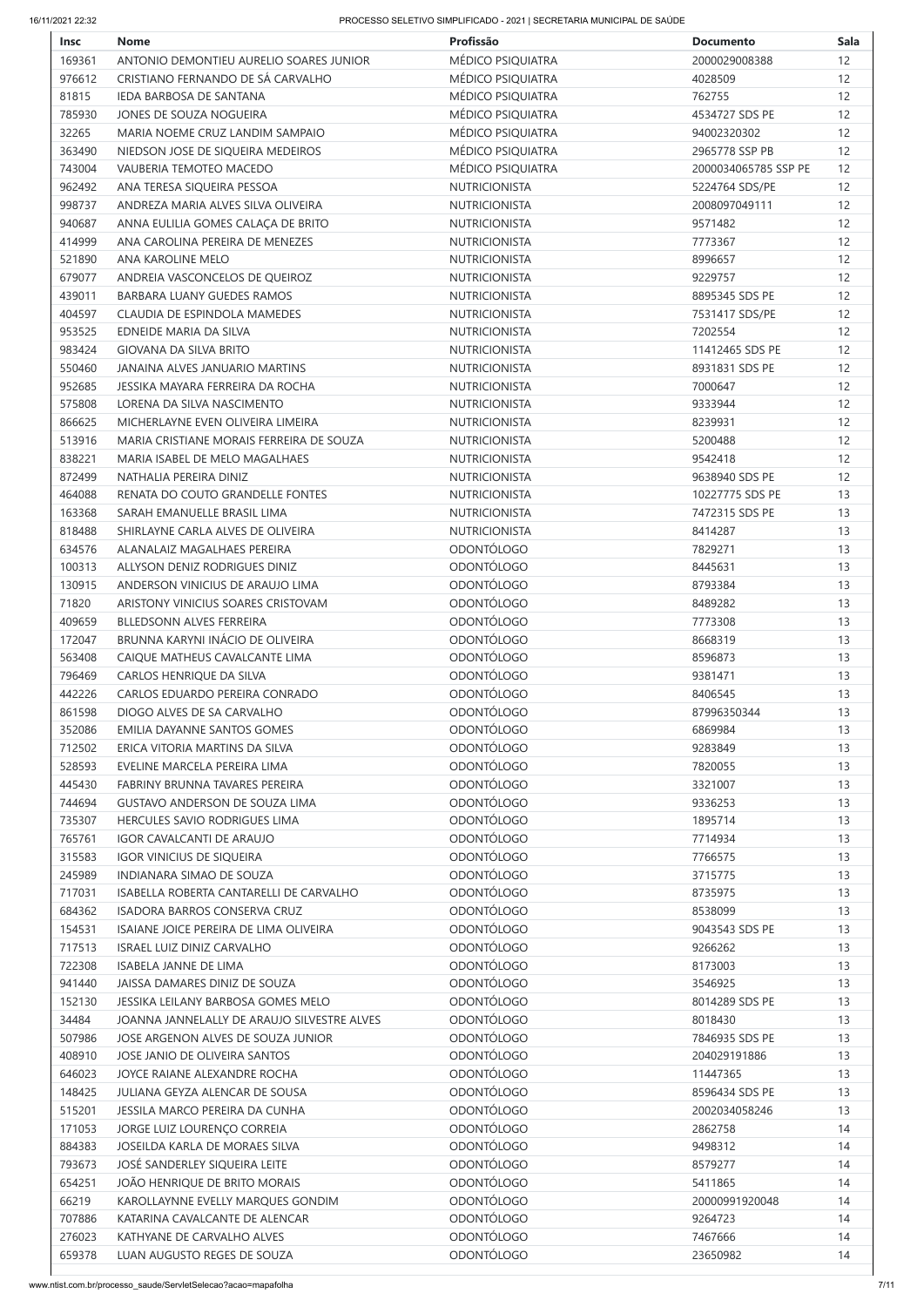| <b>Insc</b> | <b>Nome</b>                                 | Profissão            | <b>Documento</b>     | <b>Sala</b> |
|-------------|---------------------------------------------|----------------------|----------------------|-------------|
| 169361      | ANTONIO DEMONTIEU AURELIO SOARES JUNIOR     | MÉDICO PSIQUIATRA    | 2000029008388        | 12          |
| 976612      | CRISTIANO FERNANDO DE SÁ CARVALHO           | MÉDICO PSIQUIATRA    | 4028509              | 12          |
| 81815       | IEDA BARBOSA DE SANTANA                     | MÉDICO PSIQUIATRA    | 762755               | 12          |
| 785930      | JONES DE SOUZA NOGUEIRA                     | MÉDICO PSIQUIATRA    | 4534727 SDS PE       | 12          |
| 32265       | MARIA NOEME CRUZ LANDIM SAMPAIO             | MÉDICO PSIQUIATRA    | 94002320302          | 12          |
| 363490      | NIEDSON JOSE DE SIQUEIRA MEDEIROS           | MÉDICO PSIQUIATRA    | 2965778 SSP PB       | 12          |
| 743004      | VAUBERIA TEMOTEO MACEDO                     | MÉDICO PSIQUIATRA    | 2000034065785 SSP PE | 12          |
| 962492      | ANA TERESA SIQUEIRA PESSOA                  | NUTRICIONISTA        | 5224764 SDS/PE       | 12          |
| 998737      | ANDREZA MARIA ALVES SILVA OLIVEIRA          | <b>NUTRICIONISTA</b> | 2008097049111        | 12          |
| 940687      | ANNA EULILIA GOMES CALAÇA DE BRITO          | <b>NUTRICIONISTA</b> | 9571482              | 12          |
| 414999      | ANA CAROLINA PEREIRA DE MENEZES             | <b>NUTRICIONISTA</b> | 7773367              | 12          |
| 521890      | ANA KAROLINE MELO                           | <b>NUTRICIONISTA</b> | 8996657              | 12          |
| 679077      | ANDREIA VASCONCELOS DE QUEIROZ              | <b>NUTRICIONISTA</b> | 9229757              | 12          |
|             | <b>BARBARA LUANY GUEDES RAMOS</b>           |                      |                      | 12          |
| 439011      |                                             | <b>NUTRICIONISTA</b> | 8895345 SDS PE       |             |
| 404597      | CLAUDIA DE ESPINDOLA MAMEDES                | NUTRICIONISTA        | 7531417 SDS/PE       | 12          |
| 953525      | EDNEIDE MARIA DA SILVA                      | <b>NUTRICIONISTA</b> | 7202554              | 12          |
| 983424      | <b>GIOVANA DA SILVA BRITO</b>               | <b>NUTRICIONISTA</b> | 11412465 SDS PE      | 12          |
| 550460      | JANAINA ALVES JANUARIO MARTINS              | <b>NUTRICIONISTA</b> | 8931831 SDS PE       | 12          |
| 952685      | JESSIKA MAYARA FERREIRA DA ROCHA            | <b>NUTRICIONISTA</b> | 7000647              | 12          |
| 575808      | LORENA DA SILVA NASCIMENTO                  | <b>NUTRICIONISTA</b> | 9333944              | 12          |
| 866625      | MICHERLAYNE EVEN OLIVEIRA LIMEIRA           | <b>NUTRICIONISTA</b> | 8239931              | 12          |
| 513916      | MARIA CRISTIANE MORAIS FERREIRA DE SOUZA    | <b>NUTRICIONISTA</b> | 5200488              | 12          |
| 838221      | MARIA ISABEL DE MELO MAGALHAES              | <b>NUTRICIONISTA</b> | 9542418              | 12          |
| 872499      | NATHALIA PEREIRA DINIZ                      | <b>NUTRICIONISTA</b> | 9638940 SDS PE       | 12          |
| 464088      | RENATA DO COUTO GRANDELLE FONTES            | NUTRICIONISTA        | 10227775 SDS PE      | 13          |
| 163368      | SARAH EMANUELLE BRASIL LIMA                 | <b>NUTRICIONISTA</b> | 7472315 SDS PE       | 13          |
| 818488      | SHIRLAYNE CARLA ALVES DE OLIVEIRA           | <b>NUTRICIONISTA</b> | 8414287              | 13          |
| 634576      | ALANALAIZ MAGALHAES PEREIRA                 | <b>ODONTÓLOGO</b>    | 7829271              | 13          |
| 100313      | ALLYSON DENIZ RODRIGUES DINIZ               | <b>ODONTÓLOGO</b>    | 8445631              | 13          |
| 130915      | ANDERSON VINICIUS DE ARAUJO LIMA            | <b>ODONTÓLOGO</b>    | 8793384              | 13          |
| 71820       | ARISTONY VINICIUS SOARES CRISTOVAM          | <b>ODONTÓLOGO</b>    | 8489282              | 13          |
| 409659      | BLLEDSONN ALVES FERREIRA                    | <b>ODONTÓLOGO</b>    | 7773308              | 13          |
| 172047      | BRUNNA KARYNI INÁCIO DE OLIVEIRA            | <b>ODONTÓLOGO</b>    | 8668319              | 13          |
| 563408      | CAIQUE MATHEUS CAVALCANTE LIMA              | <b>ODONTÓLOGO</b>    | 8596873              | 13          |
| 796469      | CARLOS HENRIQUE DA SILVA                    | <b>ODONTÓLOGO</b>    | 9381471              | 13          |
| 442226      | CARLOS EDUARDO PEREIRA CONRADO              | <b>ODONTÓLOGO</b>    | 8406545              | 13          |
| 861598      | DIOGO ALVES DE SA CARVALHO                  | <b>ODONTÓLOGO</b>    | 87996350344          | 13          |
| 352086      | EMILIA DAYANNE SANTOS GOMES                 | <b>ODONTÓLOGO</b>    | 6869984              | 13          |
| 712502      | ERICA VITORIA MARTINS DA SILVA              | <b>ODONTÓLOGO</b>    | 9283849              | 13          |
| 528593      | EVELINE MARCELA PEREIRA LIMA                | <b>ODONTÓLOGO</b>    | 7820055              | 13          |
| 445430      | FABRINY BRUNNA TAVARES PEREIRA              | <b>ODONTÓLOGO</b>    | 3321007              | 13          |
| 744694      | <b>GUSTAVO ANDERSON DE SOUZA LIMA</b>       | <b>ODONTÓLOGO</b>    | 9336253              | 13          |
| 735307      | HERCULES SAVIO RODRIGUES LIMA               | <b>ODONTÓLOGO</b>    | 1895714              | 13          |
|             | <b>IGOR CAVALCANTI DE ARAUJO</b>            | <b>ODONTÓLOGO</b>    |                      |             |
| 765761      |                                             |                      | 7714934              | 13          |
| 315583      | <b>IGOR VINICIUS DE SIQUEIRA</b>            | <b>ODONTÓLOGO</b>    | 7766575              | 13          |
| 245989      | INDIANARA SIMAO DE SOUZA                    | <b>ODONTÓLOGO</b>    | 3715775              | 13          |
| 717031      | ISABELLA ROBERTA CANTARELLI DE CARVALHO     | <b>ODONTÓLOGO</b>    | 8735975              | 13          |
| 684362      | ISADORA BARROS CONSERVA CRUZ                | <b>ODONTÓLOGO</b>    | 8538099              | 13          |
| 154531      | ISAIANE JOICE PEREIRA DE LIMA OLIVEIRA      | <b>ODONTÓLOGO</b>    | 9043543 SDS PE       | 13          |
| 717513      | <b>ISRAEL LUIZ DINIZ CARVALHO</b>           | <b>ODONTÓLOGO</b>    | 9266262              | 13          |
| 722308      | <b>ISABELA JANNE DE LIMA</b>                | <b>ODONTÓLOGO</b>    | 8173003              | 13          |
| 941440      | JAISSA DAMARES DINIZ DE SOUZA               | <b>ODONTÓLOGO</b>    | 3546925              | 13          |
| 152130      | JESSIKA LEILANY BARBOSA GOMES MELO          | <b>ODONTÓLOGO</b>    | 8014289 SDS PE       | 13          |
| 34484       | JOANNA JANNELALLY DE ARAUJO SILVESTRE ALVES | <b>ODONTÓLOGO</b>    | 8018430              | 13          |
| 507986      | JOSE ARGENON ALVES DE SOUZA JUNIOR          | <b>ODONTÓLOGO</b>    | 7846935 SDS PE       | 13          |
| 408910      | JOSE JANIO DE OLIVEIRA SANTOS               | <b>ODONTÓLOGO</b>    | 204029191886         | 13          |
| 646023      | JOYCE RAIANE ALEXANDRE ROCHA                | <b>ODONTÓLOGO</b>    | 11447365             | 13          |
| 148425      | JULIANA GEYZA ALENCAR DE SOUSA              | <b>ODONTÓLOGO</b>    | 8596434 SDS PE       | 13          |
| 515201      | JESSILA MARCO PEREIRA DA CUNHA              | <b>ODONTÓLOGO</b>    | 2002034058246        | 13          |
| 171053      | JORGE LUIZ LOURENÇO CORREIA                 | <b>ODONTÓLOGO</b>    | 2862758              | 14          |
| 884383      | JOSEILDA KARLA DE MORAES SILVA              | <b>ODONTÓLOGO</b>    | 9498312              | 14          |
| 793673      | JOSÉ SANDERLEY SIQUEIRA LEITE               | <b>ODONTÓLOGO</b>    | 8579277              | 14          |
| 654251      | JOÃO HENRIQUE DE BRITO MORAIS               | <b>ODONTÓLOGO</b>    | 5411865              | 14          |
| 66219       | KAROLLAYNNE EVELLY MARQUES GONDIM           | <b>ODONTÓLOGO</b>    | 20000991920048       | 14          |
| 707886      | KATARINA CAVALCANTE DE ALENCAR              | <b>ODONTÓLOGO</b>    | 9264723              | 14          |
| 276023      | KATHYANE DE CARVALHO ALVES                  | <b>ODONTÓLOGO</b>    | 7467666              | 14          |
| 659378      | LUAN AUGUSTO REGES DE SOUZA                 | <b>ODONTÓLOGO</b>    | 23650982             | 14          |
|             |                                             |                      |                      |             |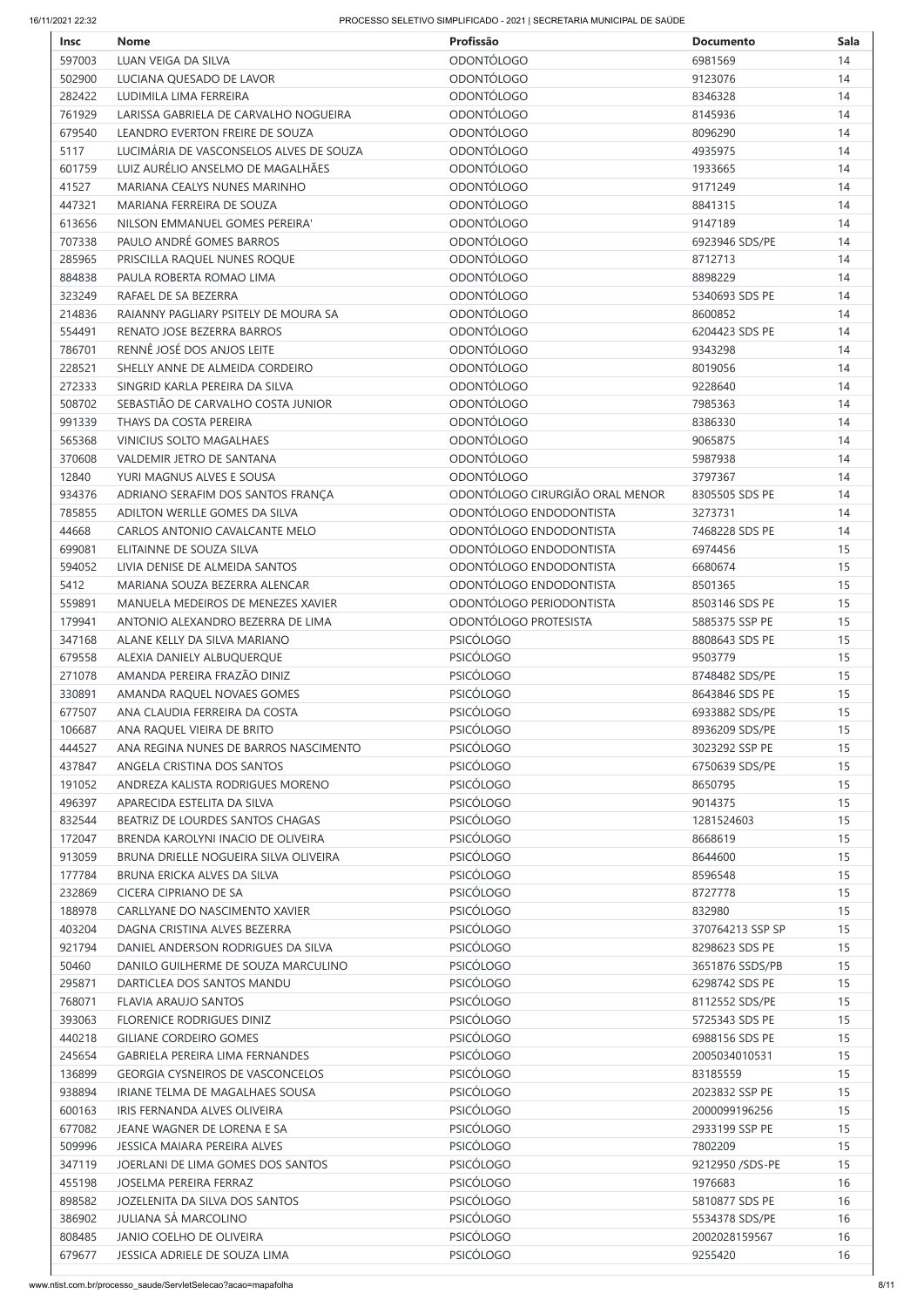| <b>Insc</b> | <b>Nome</b>                             | Profissão                       | <b>Documento</b>   | <b>Sala</b> |
|-------------|-----------------------------------------|---------------------------------|--------------------|-------------|
| 597003      | LUAN VEIGA DA SILVA                     | ODONTÓLOGO                      | 6981569            | 14          |
| 502900      | LUCIANA QUESADO DE LAVOR                | <b>ODONTÓLOGO</b>               | 9123076            | 14          |
| 282422      | LUDIMILA LIMA FERREIRA                  | <b>ODONTÓLOGO</b>               | 8346328            | 14          |
| 761929      | LARISSA GABRIELA DE CARVALHO NOGUEIRA   | <b>ODONTÓLOGO</b>               | 8145936            | 14          |
| 679540      | LEANDRO EVERTON FREIRE DE SOUZA         | <b>ODONTÓLOGO</b>               | 8096290            | 14          |
| 5117        | LUCIMÁRIA DE VASCONSELOS ALVES DE SOUZA | <b>ODONTÓLOGO</b>               | 4935975            | 14          |
| 601759      | LUIZ AURÉLIO ANSELMO DE MAGALHÃES       | <b>ODONTÓLOGO</b>               | 1933665            | 14          |
| 41527       | MARIANA CEALYS NUNES MARINHO            | <b>ODONTÓLOGO</b>               | 9171249            | 14          |
| 447321      | MARIANA FERREIRA DE SOUZA               | <b>ODONTÓLOGO</b>               | 8841315            | 14          |
| 613656      | NILSON EMMANUEL GOMES PEREIRA'          | <b>ODONTÓLOGO</b>               | 9147189            | 14          |
| 707338      | PAULO ANDRÉ GOMES BARROS                | <b>ODONTÓLOGO</b>               | 6923946 SDS/PE     | 14          |
| 285965      | PRISCILLA RAQUEL NUNES ROQUE            | <b>ODONTÓLOGO</b>               | 8712713            | 14          |
| 884838      | PAULA ROBERTA ROMAO LIMA                | <b>ODONTÓLOGO</b>               | 8898229            | 14          |
| 323249      | RAFAEL DE SA BEZERRA                    | <b>ODONTÓLOGO</b>               | 5340693 SDS PE     | 14          |
| 214836      | RAIANNY PAGLIARY PSITELY DE MOURA SA    | <b>ODONTÓLOGO</b>               | 8600852            | 14          |
| 554491      | RENATO JOSE BEZERRA BARROS              | <b>ODONTÓLOGO</b>               | 6204423 SDS PE     | 14          |
| 786701      | RENNÊ JOSÉ DOS ANJOS LEITE              | <b>ODONTÓLOGO</b>               | 9343298            | 14          |
| 228521      | SHELLY ANNE DE ALMEIDA CORDEIRO         | <b>ODONTÓLOGO</b>               | 8019056            | 14          |
| 272333      | SINGRID KARLA PEREIRA DA SILVA          | <b>ODONTÓLOGO</b>               | 9228640            | 14          |
| 508702      | SEBASTIÃO DE CARVALHO COSTA JUNIOR      | <b>ODONTÓLOGO</b>               |                    |             |
| 991339      | THAYS DA COSTA PEREIRA                  | <b>ODONTÓLOGO</b>               | 7985363<br>8386330 | 14<br>14    |
|             |                                         |                                 |                    |             |
| 565368      | <b>VINICIUS SOLTO MAGALHAES</b>         | <b>ODONTÓLOGO</b>               | 9065875            | 14          |
| 370608      | <b>VALDEMIR JETRO DE SANTANA</b>        | <b>ODONTÓLOGO</b>               | 5987938            | 14          |
| 12840       | YURI MAGNUS ALVES E SOUSA               | <b>ODONTÓLOGO</b>               | 3797367            | 14          |
| 934376      | ADRIANO SERAFIM DOS SANTOS FRANÇA       | ODONTÓLOGO CIRURGIÃO ORAL MENOR | 8305505 SDS PE     | 14          |
| 785855      | ADILTON WERLLE GOMES DA SILVA           | ODONTÓLOGO ENDODONTISTA         | 3273731            | 14          |
| 44668       | CARLOS ANTONIO CAVALCANTE MELO          | ODONTÓLOGO ENDODONTISTA         | 7468228 SDS PE     | 14          |
| 699081      | ELITAINNE DE SOUZA SILVA                | ODONTÓLOGO ENDODONTISTA         | 6974456            | 15          |
| 594052      | LIVIA DENISE DE ALMEIDA SANTOS          | ODONTÓLOGO ENDODONTISTA         | 6680674            | 15          |
| 5412        | MARIANA SOUZA BEZERRA ALENCAR           | ODONTÓLOGO ENDODONTISTA         | 8501365            | 15          |
| 559891      | MANUELA MEDEIROS DE MENEZES XAVIER      | ODONTÓLOGO PERIODONTISTA        | 8503146 SDS PE     | 15          |
| 179941      | ANTONIO ALEXANDRO BEZERRA DE LIMA       | ODONTÓLOGO PROTESISTA           | 5885375 SSP PE     | 15          |
| 347168      | ALANE KELLY DA SILVA MARIANO            | <b>PSICÓLOGO</b>                | 8808643 SDS PE     | 15          |
| 679558      | ALEXIA DANIELY ALBUQUERQUE              | <b>PSICÓLOGO</b>                | 9503779            | 15          |
| 271078      | AMANDA PEREIRA FRAZÃO DINIZ             | <b>PSICÓLOGO</b>                | 8748482 SDS/PE     | 15          |
| 330891      | AMANDA RAQUEL NOVAES GOMES              | <b>PSICÓLOGO</b>                | 8643846 SDS PE     | 15          |
| 677507      | ANA CLAUDIA FERREIRA DA COSTA           | <b>PSICÓLOGO</b>                | 6933882 SDS/PE     | 15          |
| 106687      | ANA RAQUEL VIEIRA DE BRITO              | <b>PSICÓLOGO</b>                | 8936209 SDS/PE     | 15          |
| 444527      | ANA REGINA NUNES DE BARROS NASCIMENTO   | <b>PSICÓLOGO</b>                | 3023292 SSP PE     | 15          |
| 437847      | ANGELA CRISTINA DOS SANTOS              | <b>PSICÓLOGO</b>                | 6750639 SDS/PE     | 15          |
| 191052      | ANDREZA KALISTA RODRIGUES MORENO        | <b>PSICÓLOGO</b>                | 8650795            | 15          |
| 496397      | APARECIDA ESTELITA DA SILVA             | <b>PSICÓLOGO</b>                | 9014375            | 15          |
| 832544      | BEATRIZ DE LOURDES SANTOS CHAGAS        | <b>PSICÓLOGO</b>                | 1281524603         | 15          |
| 172047      | BRENDA KAROLYNI INACIO DE OLIVEIRA      | <b>PSICÓLOGO</b>                | 8668619            | 15          |
| 913059      | BRUNA DRIELLE NOGUEIRA SILVA OLIVEIRA   | <b>PSICÓLOGO</b>                | 8644600            | 15          |
| 177784      | BRUNA ERICKA ALVES DA SILVA             | <b>PSICÓLOGO</b>                | 8596548            | 15          |
| 232869      | <b>CICERA CIPRIANO DE SA</b>            | <b>PSICÓLOGO</b>                | 8727778            | 15          |
| 188978      | CARLLYANE DO NASCIMENTO XAVIER          | <b>PSICÓLOGO</b>                | 832980             | 15          |
| 403204      | DAGNA CRISTINA ALVES BEZERRA            | <b>PSICÓLOGO</b>                | 370764213 SSP SP   | 15          |
| 921794      | DANIEL ANDERSON RODRIGUES DA SILVA      | <b>PSICÓLOGO</b>                | 8298623 SDS PE     | 15          |
| 50460       | DANILO GUILHERME DE SOUZA MARCULINO     | <b>PSICÓLOGO</b>                | 3651876 SSDS/PB    | 15          |
| 295871      | DARTICLEA DOS SANTOS MANDU              | <b>PSICÓLOGO</b>                | 6298742 SDS PE     | 15          |
| 768071      | <b>FLAVIA ARAUJO SANTOS</b>             | <b>PSICÓLOGO</b>                | 8112552 SDS/PE     | 15          |
| 393063      | <b>FLORENICE RODRIGUES DINIZ</b>        | <b>PSICÓLOGO</b>                | 5725343 SDS PE     | 15          |
| 440218      | <b>GILIANE CORDEIRO GOMES</b>           | <b>PSICÓLOGO</b>                | 6988156 SDS PE     | 15          |
| 245654      | <b>GABRIELA PEREIRA LIMA FERNANDES</b>  | <b>PSICÓLOGO</b>                | 2005034010531      | 15          |
| 136899      | <b>GEORGIA CYSNEIROS DE VASCONCELOS</b> | <b>PSICÓLOGO</b>                | 83185559           | 15          |
| 938894      | IRIANE TELMA DE MAGALHAES SOUSA         | <b>PSICÓLOGO</b>                | 2023832 SSP PE     | 15          |
| 600163      | IRIS FERNANDA ALVES OLIVEIRA            | <b>PSICÓLOGO</b>                | 2000099196256      | 15          |
| 677082      | JEANE WAGNER DE LORENA E SA             | <b>PSICÓLOGO</b>                | 2933199 SSP PE     | 15          |
| 509996      | JESSICA MAJARA PEREIRA ALVES            | <b>PSICÓLOGO</b>                | 7802209            | 15          |
| 347119      | JOERLANI DE LIMA GOMES DOS SANTOS       | <b>PSICÓLOGO</b>                | 9212950 / SDS-PE   | 15          |
| 455198      | JOSELMA PEREIRA FERRAZ                  | <b>PSICÓLOGO</b>                | 1976683            | 16          |
| 898582      | JOZELENITA DA SILVA DOS SANTOS          | <b>PSICÓLOGO</b>                | 5810877 SDS PE     | 16          |
| 386902      | <b>JULIANA SÁ MARCOLINO</b>             | <b>PSICÓLOGO</b>                | 5534378 SDS/PE     | 16          |
| 808485      | <b>JANIO COELHO DE OLIVEIRA</b>         | <b>PSICÓLOGO</b>                | 2002028159567      | 16          |
| 679677      | <b>JESSICA ADRIELE DE SOUZA LIMA</b>    | <b>PSICÓLOGO</b>                | 9255420            | 16          |
|             |                                         |                                 |                    |             |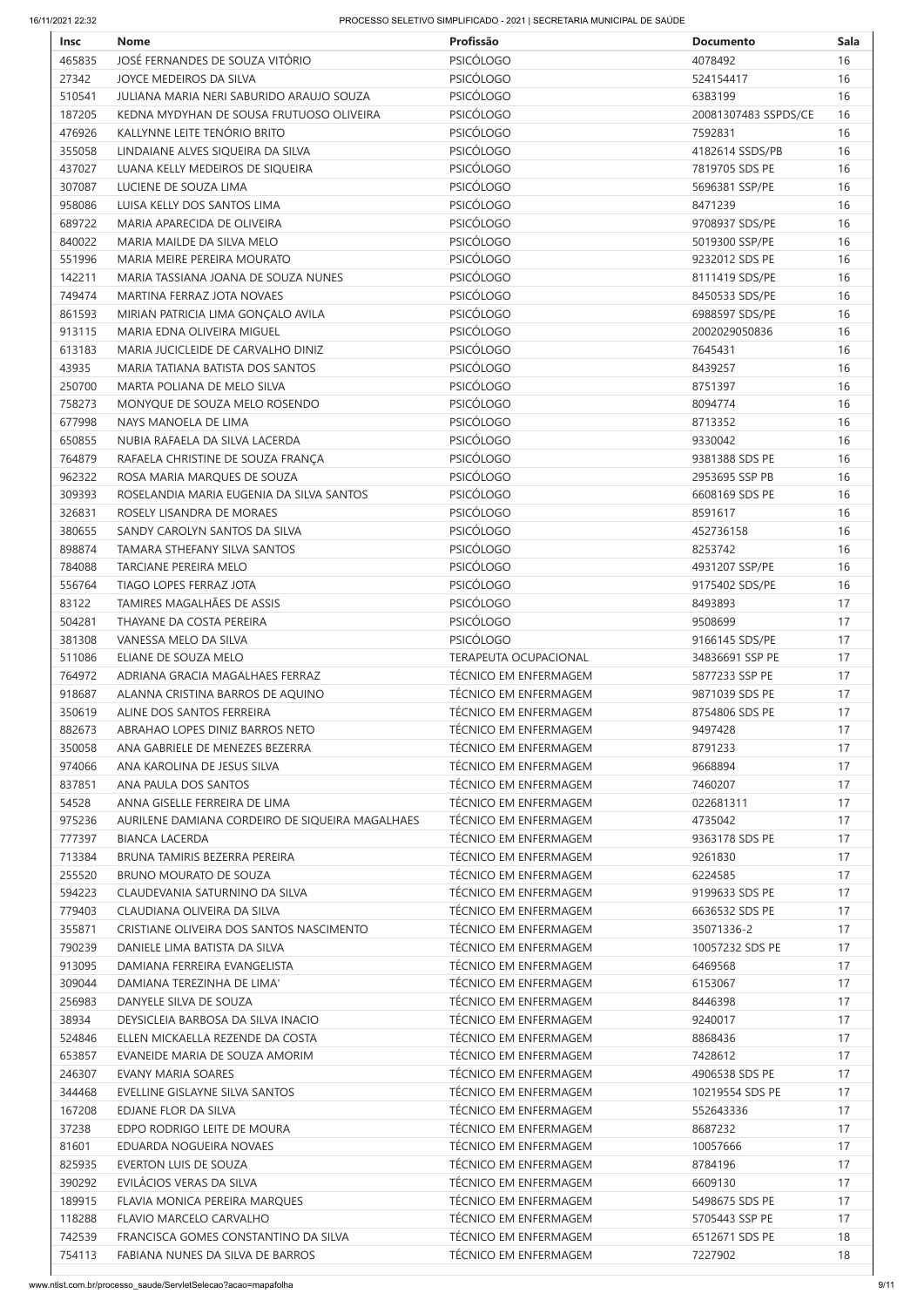| <b>Insc</b>      | <b>Nome</b>                                                             | Profissão                                             | <b>Documento</b>              | <b>Sala</b> |
|------------------|-------------------------------------------------------------------------|-------------------------------------------------------|-------------------------------|-------------|
| 465835           | JOSÉ FERNANDES DE SOUZA VITÓRIO                                         | PSICÓLOGO                                             | 4078492                       | 16          |
| 27342            | JOYCE MEDEIROS DA SILVA                                                 | <b>PSICÓLOGO</b>                                      | 524154417                     | 16          |
| 510541           | JULIANA MARIA NERI SABURIDO ARAUJO SOUZA                                | <b>PSICÓLOGO</b>                                      | 6383199                       | 16          |
| 187205           | KEDNA MYDYHAN DE SOUSA FRUTUOSO OLIVEIRA                                | <b>PSICÓLOGO</b>                                      | 20081307483 SSPDS/CE          | 16          |
| 476926           | KALLYNNE LEITE TENÓRIO BRITO                                            | <b>PSICÓLOGO</b>                                      | 7592831                       | 16          |
| 355058           | LINDAIANE ALVES SIQUEIRA DA SILVA                                       | PSICÓLOGO                                             | 4182614 SSDS/PB               | 16          |
| 437027           | LUANA KELLY MEDEIROS DE SIQUEIRA                                        | <b>PSICÓLOGO</b>                                      | 7819705 SDS PE                | 16          |
| 307087           | LUCIENE DE SOUZA LIMA                                                   | PSICÓLOGO                                             | 5696381 SSP/PE                | 16          |
| 958086           | LUISA KELLY DOS SANTOS LIMA                                             | <b>PSICÓLOGO</b>                                      | 8471239                       | 16          |
| 689722           | MARIA APARECIDA DE OLIVEIRA                                             | <b>PSICÓLOGO</b>                                      | 9708937 SDS/PE                | 16          |
| 840022           | MARIA MAILDE DA SILVA MELO                                              | <b>PSICÓLOGO</b>                                      | 5019300 SSP/PE                | 16          |
| 551996           | MARIA MEIRE PEREIRA MOURATO                                             | <b>PSICÓLOGO</b>                                      | 9232012 SDS PE                | 16          |
| 142211           | MARIA TASSIANA JOANA DE SOUZA NUNES                                     | <b>PSICÓLOGO</b>                                      | 8111419 SDS/PE                | 16          |
| 749474           | MARTINA FERRAZ JOTA NOVAES                                              | PSICÓLOGO                                             | 8450533 SDS/PE                | 16          |
| 861593           | MIRIAN PATRICIA LIMA GONÇALO AVILA                                      | <b>PSICÓLOGO</b>                                      | 6988597 SDS/PE                | 16          |
| 913115           | MARIA EDNA OLIVEIRA MIGUEL                                              | PSICÓLOGO                                             | 2002029050836                 | 16          |
| 613183           | MARIA JUCICLEIDE DE CARVALHO DINIZ                                      | <b>PSICÓLOGO</b>                                      | 7645431                       | 16          |
| 43935            | MARIA TATIANA BATISTA DOS SANTOS                                        | <b>PSICÓLOGO</b>                                      | 8439257                       | 16          |
| 250700           | MARTA POLIANA DE MELO SILVA                                             | <b>PSICÓLOGO</b>                                      | 8751397                       | 16          |
| 758273           | MONYQUE DE SOUZA MELO ROSENDO                                           | <b>PSICÓLOGO</b>                                      | 8094774                       | 16          |
| 677998           | NAYS MANOELA DE LIMA                                                    | PSICÓLOGO                                             | 8713352                       | 16          |
| 650855           | NUBIA RAFAELA DA SILVA LACERDA                                          | <b>PSICÓLOGO</b>                                      | 9330042                       | 16          |
| 764879           | RAFAELA CHRISTINE DE SOUZA FRANÇA                                       | <b>PSICÓLOGO</b>                                      | 9381388 SDS PE                | 16          |
| 962322           | ROSA MARIA MARQUES DE SOUZA                                             | <b>PSICÓLOGO</b>                                      | 2953695 SSP PB                | 16          |
| 309393           | ROSELANDIA MARIA EUGENIA DA SILVA SANTOS                                | PSICÓLOGO                                             | 6608169 SDS PE                | 16          |
| 326831           | ROSELY LISANDRA DE MORAES                                               | <b>PSICÓLOGO</b>                                      | 8591617                       | 16          |
| 380655           | SANDY CAROLYN SANTOS DA SILVA                                           | <b>PSICÓLOGO</b>                                      | 452736158                     | 16          |
| 898874           | TAMARA STHEFANY SILVA SANTOS                                            | <b>PSICÓLOGO</b>                                      | 8253742                       | 16          |
| 784088           | <b>TARCIANE PEREIRA MELO</b>                                            | <b>PSICÓLOGO</b>                                      | 4931207 SSP/PE                | 16          |
| 556764           | TIAGO LOPES FERRAZ JOTA                                                 | <b>PSICÓLOGO</b>                                      | 9175402 SDS/PE                | 16          |
| 83122            | TAMIRES MAGALHÃES DE ASSIS                                              | <b>PSICÓLOGO</b>                                      | 8493893                       | 17          |
| 504281           | THAYANE DA COSTA PEREIRA                                                | <b>PSICÓLOGO</b>                                      | 9508699                       | 17          |
| 381308           | VANESSA MELO DA SILVA                                                   | <b>PSICÓLOGO</b>                                      | 9166145 SDS/PE                | 17          |
| 511086           | ELIANE DE SOUZA MELO                                                    | TERAPEUTA OCUPACIONAL                                 | 34836691 SSP PE               | 17          |
| 764972           | ADRIANA GRACIA MAGALHAES FERRAZ                                         | <b>TÉCNICO EM ENFERMAGEM</b>                          | 5877233 SSP PE                | 17          |
| 918687           | ALANNA CRISTINA BARROS DE AQUINO                                        | <b>TÉCNICO EM ENFERMAGEM</b>                          | 9871039 SDS PE                | 17          |
| 350619           | ALINE DOS SANTOS FERREIRA                                               | <b>TÉCNICO EM ENFERMAGEM</b>                          | 8754806 SDS PE                | 17          |
| 882673           | ABRAHAO LOPES DINIZ BARROS NETO                                         | <b>TÉCNICO EM ENFERMAGEM</b>                          | 9497428                       | 17          |
| 350058           | ANA GABRIELE DE MENEZES BEZERRA                                         | <b>TÉCNICO EM ENFERMAGEM</b>                          | 8791233                       | 17          |
| 974066           | ANA KAROLINA DE JESUS SILVA                                             | <b>TÉCNICO EM ENFERMAGEM</b>                          | 9668894                       | 17          |
| 837851           | ANA PAULA DOS SANTOS                                                    | TÉCNICO EM ENFERMAGEM                                 | 7460207                       | 17          |
| 54528            | ANNA GISELLE FERREIRA DE LIMA                                           | <b>TÉCNICO EM ENFERMAGEM</b>                          | 022681311                     | 17          |
| 975236           | AURILENE DAMIANA CORDEIRO DE SIQUEIRA MAGALHAES                         | <b>TÉCNICO EM ENFERMAGEM</b>                          | 4735042                       | 17          |
| 777397           | <b>BIANCA LACERDA</b>                                                   | TÉCNICO EM ENFERMAGEM                                 | 9363178 SDS PE                | 17          |
| 713384           | BRUNA TAMIRIS BEZERRA PEREIRA                                           | <b>TÉCNICO EM ENFERMAGEM</b>                          | 9261830                       | 17          |
| 255520           | <b>BRUNO MOURATO DE SOUZA</b>                                           | <b>TÉCNICO EM ENFERMAGEM</b>                          | 6224585                       | 17          |
| 594223           | CLAUDEVANIA SATURNINO DA SILVA                                          | <b>TÉCNICO EM ENFERMAGEM</b>                          | 9199633 SDS PE                | 17          |
| 779403           | CLAUDIANA OLIVEIRA DA SILVA<br>CRISTIANE OLIVEIRA DOS SANTOS NASCIMENTO | TÉCNICO EM ENFERMAGEM                                 | 6636532 SDS PE                | 17          |
| 355871<br>790239 | DANIELE LIMA BATISTA DA SILVA                                           | TÉCNICO EM ENFERMAGEM<br><b>TÉCNICO EM ENFERMAGEM</b> | 35071336-2<br>10057232 SDS PE | 17<br>17    |
|                  |                                                                         |                                                       |                               |             |
| 913095<br>309044 | DAMIANA FERREIRA EVANGELISTA<br>DAMIANA TEREZINHA DE LIMA'              | <b>TÉCNICO EM ENFERMAGEM</b><br>TÉCNICO EM ENFERMAGEM | 6469568<br>6153067            | 17<br>17    |
|                  |                                                                         | <b>TÉCNICO EM ENFERMAGEM</b>                          |                               |             |
| 256983           | DANYELE SILVA DE SOUZA                                                  |                                                       | 8446398                       | 17          |
| 38934            | DEYSICLEIA BARBOSA DA SILVA INACIO<br>ELLEN MICKAELLA REZENDE DA COSTA  | TÉCNICO EM ENFERMAGEM<br>TÉCNICO EM ENFERMAGEM        | 9240017                       | 17<br>17    |
| 524846<br>653857 | EVANEIDE MARIA DE SOUZA AMORIM                                          | <b>TÉCNICO EM ENFERMAGEM</b>                          | 8868436<br>7428612            | 17          |
| 246307           | EVANY MARIA SOARES                                                      | <b>TÉCNICO EM ENFERMAGEM</b>                          | 4906538 SDS PE                | 17          |
| 344468           | EVELLINE GISLAYNE SILVA SANTOS                                          | TÉCNICO EM ENFERMAGEM                                 | 10219554 SDS PE               | 17          |
| 167208           | EDJANE FLOR DA SILVA                                                    | <b>TÉCNICO EM ENFERMAGEM</b>                          | 552643336                     | 17          |
| 37238            | EDPO RODRIGO LEITE DE MOURA                                             | <b>TÉCNICO EM ENFERMAGEM</b>                          | 8687232                       | 17          |
| 81601            | EDUARDA NOGUEIRA NOVAES                                                 | <b>TÉCNICO EM ENFERMAGEM</b>                          | 10057666                      | 17          |
| 825935           | EVERTON LUIS DE SOUZA                                                   | <b>TÉCNICO EM ENFERMAGEM</b>                          | 8784196                       | 17          |
| 390292           | EVILÁCIOS VERAS DA SILVA                                                | <b>TÉCNICO EM ENFERMAGEM</b>                          | 6609130                       | 17          |
| 189915           | FLAVIA MONICA PEREIRA MARQUES                                           | <b>TÉCNICO EM ENFERMAGEM</b>                          | 5498675 SDS PE                | 17          |
| 118288           | <b>FLAVIO MARCELO CARVALHO</b>                                          | <b>TÉCNICO EM ENFERMAGEM</b>                          | 5705443 SSP PE                | 17          |
| 742539           | FRANCISCA GOMES CONSTANTINO DA SILVA                                    | TÉCNICO EM ENFERMAGEM                                 | 6512671 SDS PE                | 18          |
| 754113           | FABIANA NUNES DA SILVA DE BARROS                                        | TÉCNICO EM ENFERMAGEM                                 | 7227902                       | 18          |
|                  |                                                                         |                                                       |                               |             |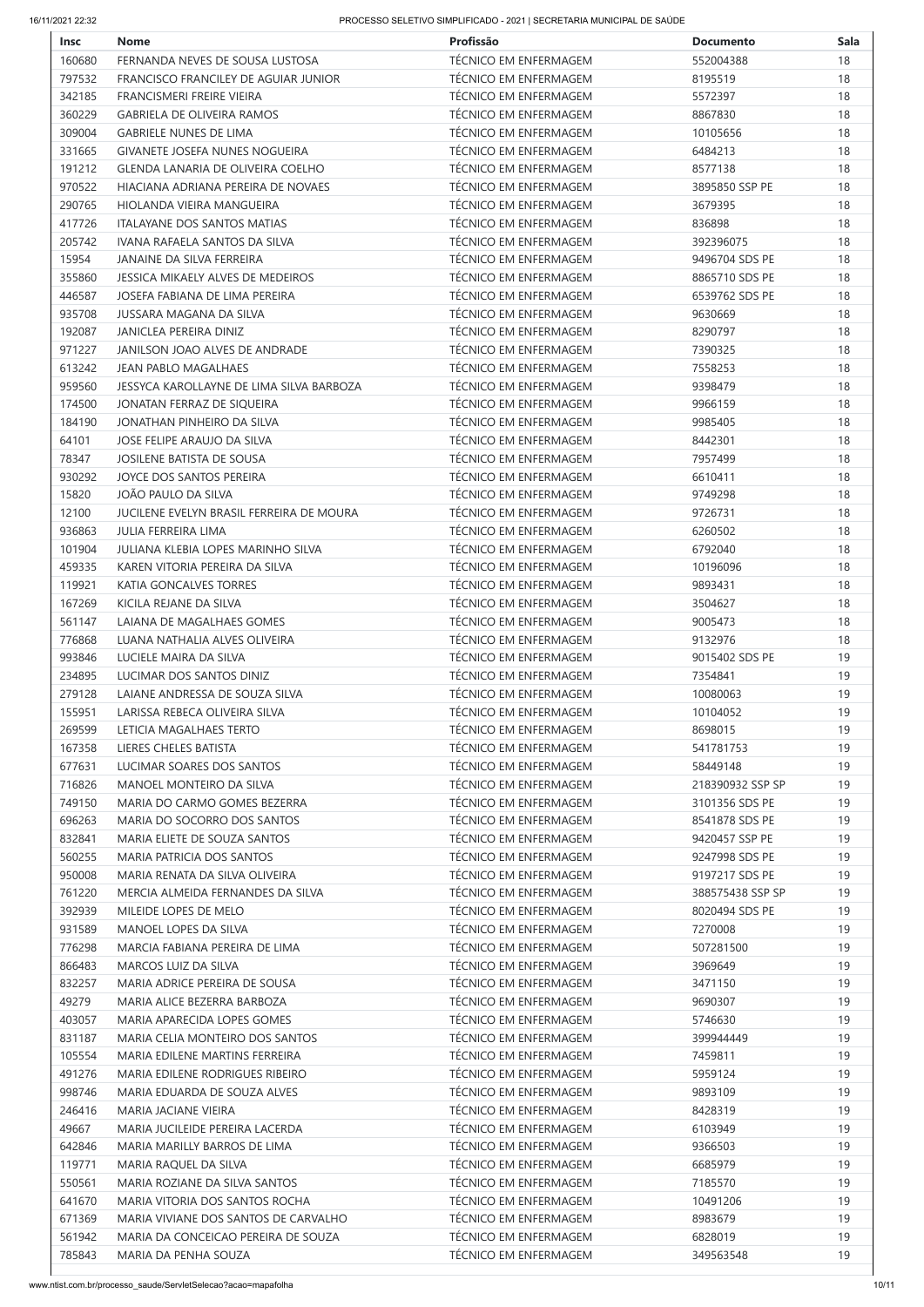| <b>Insc</b> | <b>Nome</b>                              | Profissão                    | <b>Documento</b> | <b>Sala</b> |
|-------------|------------------------------------------|------------------------------|------------------|-------------|
| 160680      | FERNANDA NEVES DE SOUSA LUSTOSA          | TÉCNICO EM ENFERMAGEM        | 552004388        | 18          |
| 797532      | FRANCISCO FRANCILEY DE AGUIAR JUNIOR     | <b>TÉCNICO EM ENFERMAGEM</b> | 8195519          | 18          |
| 342185      | <b>FRANCISMERI FREIRE VIEIRA</b>         | <b>TÉCNICO EM ENFERMAGEM</b> | 5572397          | 18          |
| 360229      | <b>GABRIELA DE OLIVEIRA RAMOS</b>        | <b>TÉCNICO EM ENFERMAGEM</b> | 8867830          | 18          |
| 309004      | <b>GABRIELE NUNES DE LIMA</b>            | <b>TÉCNICO EM ENFERMAGEM</b> | 10105656         | 18          |
| 331665      | <b>GIVANETE JOSEFA NUNES NOGUEIRA</b>    | TÉCNICO EM ENFERMAGEM        | 6484213          | 18          |
| 191212      | <b>GLENDA LANARIA DE OLIVEIRA COELHO</b> | <b>TÉCNICO EM ENFERMAGEM</b> | 8577138          | 18          |
| 970522      | HIACIANA ADRIANA PEREIRA DE NOVAES       | <b>TÉCNICO EM ENFERMAGEM</b> | 3895850 SSP PE   | 18          |
| 290765      | HIOLANDA VIEIRA MANGUEIRA                | <b>TÉCNICO EM ENFERMAGEM</b> | 3679395          | 18          |
| 417726      | <b>ITALAYANE DOS SANTOS MATIAS</b>       | <b>TÉCNICO EM ENFERMAGEM</b> | 836898           | 18          |
| 205742      | IVANA RAFAELA SANTOS DA SILVA            | <b>TÉCNICO EM ENFERMAGEM</b> | 392396075        | 18          |
| 15954       | <b>JANAINE DA SILVA FERREIRA</b>         | <b>TÉCNICO EM ENFERMAGEM</b> | 9496704 SDS PE   | 18          |
| 355860      | JESSICA MIKAELY ALVES DE MEDEIROS        | <b>TÉCNICO EM ENFERMAGEM</b> | 8865710 SDS PE   | 18          |
| 446587      | JOSEFA FABIANA DE LIMA PEREIRA           | TÉCNICO EM ENFERMAGEM        | 6539762 SDS PE   | 18          |
| 935708      | <b>JUSSARA MAGANA DA SILVA</b>           | <b>TÉCNICO EM ENFERMAGEM</b> | 9630669          | 18          |
| 192087      | JANICLEA PEREIRA DINIZ                   | <b>TÉCNICO EM ENFERMAGEM</b> | 8290797          | 18          |
| 971227      | JANILSON JOAO ALVES DE ANDRADE           | <b>TÉCNICO EM ENFERMAGEM</b> | 7390325          | 18          |
| 613242      | <b>JEAN PABLO MAGALHAES</b>              | <b>TÉCNICO EM ENFERMAGEM</b> | 7558253          | 18          |
| 959560      | JESSYCA KAROLLAYNE DE LIMA SILVA BARBOZA | TÉCNICO EM ENFERMAGEM        | 9398479          | 18          |
| 174500      | JONATAN FERRAZ DE SIQUEIRA               | <b>TÉCNICO EM ENFERMAGEM</b> | 9966159          | 18          |
| 184190      | JONATHAN PINHEIRO DA SILVA               | <b>TÉCNICO EM ENFERMAGEM</b> | 9985405          | 18          |
| 64101       | JOSE FELIPE ARAUJO DA SILVA              | TÉCNICO EM ENFERMAGEM        | 8442301          | 18          |
| 78347       | JOSILENE BATISTA DE SOUSA                | <b>TÉCNICO EM ENFERMAGEM</b> | 7957499          | 18          |
| 930292      | JOYCE DOS SANTOS PEREIRA                 | <b>TÉCNICO EM ENFERMAGEM</b> | 6610411          | 18          |
| 15820       | JOÃO PAULO DA SILVA                      | <b>TÉCNICO EM ENFERMAGEM</b> | 9749298          | 18          |
| 12100       | JUCILENE EVELYN BRASIL FERREIRA DE MOURA | <b>TÉCNICO EM ENFERMAGEM</b> | 9726731          | 18          |
| 936863      | <b>JULIA FERREIRA LIMA</b>               | <b>TÉCNICO EM ENFERMAGEM</b> | 6260502          | 18          |
| 101904      | JULIANA KLEBIA LOPES MARINHO SILVA       | <b>TÉCNICO EM ENFERMAGEM</b> | 6792040          | 18          |
| 459335      | KAREN VITORIA PEREIRA DA SILVA           | <b>TÉCNICO EM ENFERMAGEM</b> | 10196096         | 18          |
| 119921      | KATIA GONCALVES TORRES                   | <b>TÉCNICO EM ENFERMAGEM</b> | 9893431          | 18          |
| 167269      | KICILA REJANE DA SILVA                   | <b>TÉCNICO EM ENFERMAGEM</b> | 3504627          | 18          |
| 561147      | LAIANA DE MAGALHAES GOMES                | <b>TÉCNICO EM ENFERMAGEM</b> | 9005473          | 18          |
| 776868      | LUANA NATHALIA ALVES OLIVEIRA            | <b>TÉCNICO EM ENFERMAGEM</b> | 9132976          | 18          |
| 993846      | LUCIELE MAIRA DA SILVA                   | TÉCNICO EM ENFERMAGEM        | 9015402 SDS PE   | 19          |
| 234895      | LUCIMAR DOS SANTOS DINIZ                 | <b>TÉCNICO EM ENFERMAGEM</b> | 7354841          | 19          |
| 279128      | LAIANE ANDRESSA DE SOUZA SILVA           | <b>TÉCNICO EM ENFERMAGEM</b> | 10080063         | 19          |
| 155951      | LARISSA REBECA OLIVEIRA SILVA            | <b>TÉCNICO EM ENFERMAGEM</b> | 10104052         | 19          |
| 269599      | LETICIA MAGALHAES TERTO                  | <b>TÉCNICO EM ENFERMAGEM</b> | 8698015          | 19          |
| 167358      | LIERES CHELES BATISTA                    | TÉCNICO EM ENFERMAGEM        | 541781753        | 19          |
| 677631      | LUCIMAR SOARES DOS SANTOS                | <b>TÉCNICO EM ENFERMAGEM</b> | 58449148         | 19          |
| 716826      | MANOEL MONTEIRO DA SILVA                 | <b>TÉCNICO EM ENFERMAGEM</b> | 218390932 SSP SP | 19          |
| 749150      | MARIA DO CARMO GOMES BEZERRA             | <b>TÉCNICO EM ENFERMAGEM</b> | 3101356 SDS PE   | 19          |
| 696263      | MARIA DO SOCORRO DOS SANTOS              | <b>TÉCNICO EM ENFERMAGEM</b> | 8541878 SDS PE   | 19          |
| 832841      | MARIA ELIETE DE SOUZA SANTOS             | TÉCNICO EM ENFERMAGEM        | 9420457 SSP PE   | 19          |
| 560255      | MARIA PATRICIA DOS SANTOS                | <b>TÉCNICO EM ENFERMAGEM</b> | 9247998 SDS PE   | 19          |
| 950008      | MARIA RENATA DA SILVA OLIVEIRA           | <b>TÉCNICO EM ENFERMAGEM</b> | 9197217 SDS PE   | 19          |
| 761220      | MERCIA ALMEIDA FERNANDES DA SILVA        | <b>TÉCNICO EM ENFERMAGEM</b> | 388575438 SSP SP | 19          |
| 392939      | MILEIDE LOPES DE MELO                    | <b>TÉCNICO EM ENFERMAGEM</b> | 8020494 SDS PE   | 19          |
| 931589      | MANOEL LOPES DA SILVA                    | <b>TÉCNICO EM ENFERMAGEM</b> | 7270008          | 19          |
| 776298      | MARCIA FABIANA PEREIRA DE LIMA           | TÉCNICO EM ENFERMAGEM        | 507281500        | 19          |
| 866483      | MARCOS LUIZ DA SILVA                     | <b>TÉCNICO EM ENFERMAGEM</b> | 3969649          | 19          |
| 832257      | MARIA ADRICE PEREIRA DE SOUSA            | TÉCNICO EM ENFERMAGEM        | 3471150          | 19          |
| 49279       | MARIA ALICE BEZERRA BARBOZA              | <b>TÉCNICO EM ENFERMAGEM</b> | 9690307          | 19          |
| 403057      | MARIA APARECIDA LOPES GOMES              | TÉCNICO EM ENFERMAGEM        | 5746630          | 19          |
| 831187      | MARIA CELIA MONTEIRO DOS SANTOS          | TÉCNICO EM ENFERMAGEM        | 399944449        | 19          |
| 105554      | <b>MARIA EDILENE MARTINS FERREIRA</b>    | <b>TÉCNICO EM ENFERMAGEM</b> | 7459811          | 19          |
| 491276      | <b>MARIA EDILENE RODRIGUES RIBEIRO</b>   | <b>TÉCNICO EM ENFERMAGEM</b> | 5959124          | 19          |
| 998746      | MARIA EDUARDA DE SOUZA ALVES             | <b>TÉCNICO EM ENFERMAGEM</b> | 9893109          | 19          |
| 246416      | <b>MARIA JACIANE VIEIRA</b>              | <b>TÉCNICO EM ENFERMAGEM</b> | 8428319          | 19          |
| 49667       | MARIA JUCILEIDE PEREIRA LACERDA          | <b>TÉCNICO EM ENFERMAGEM</b> | 6103949          | 19          |
| 642846      | MARIA MARILLY BARROS DE LIMA             | TÉCNICO EM ENFERMAGEM        | 9366503          | 19          |
| 119771      | MARIA RAQUEL DA SILVA                    | <b>TÉCNICO EM ENFERMAGEM</b> | 6685979          | 19          |
| 550561      | MARIA ROZIANE DA SILVA SANTOS            | <b>TÉCNICO EM ENFERMAGEM</b> | 7185570          | 19          |
| 641670      | MARIA VITORIA DOS SANTOS ROCHA           | <b>TÉCNICO EM ENFERMAGEM</b> | 10491206         | 19          |
| 671369      | MARIA VIVIANE DOS SANTOS DE CARVALHO     | <b>TÉCNICO EM ENFERMAGEM</b> | 8983679          | 19          |
| 561942      | MARIA DA CONCEICAO PEREIRA DE SOUZA      | <b>TÉCNICO EM ENFERMAGEM</b> | 6828019          | 19          |
| 785843      | MARIA DA PENHA SOUZA                     | TÉCNICO EM ENFERMAGEM        | 349563548        | 19          |
|             |                                          |                              |                  |             |